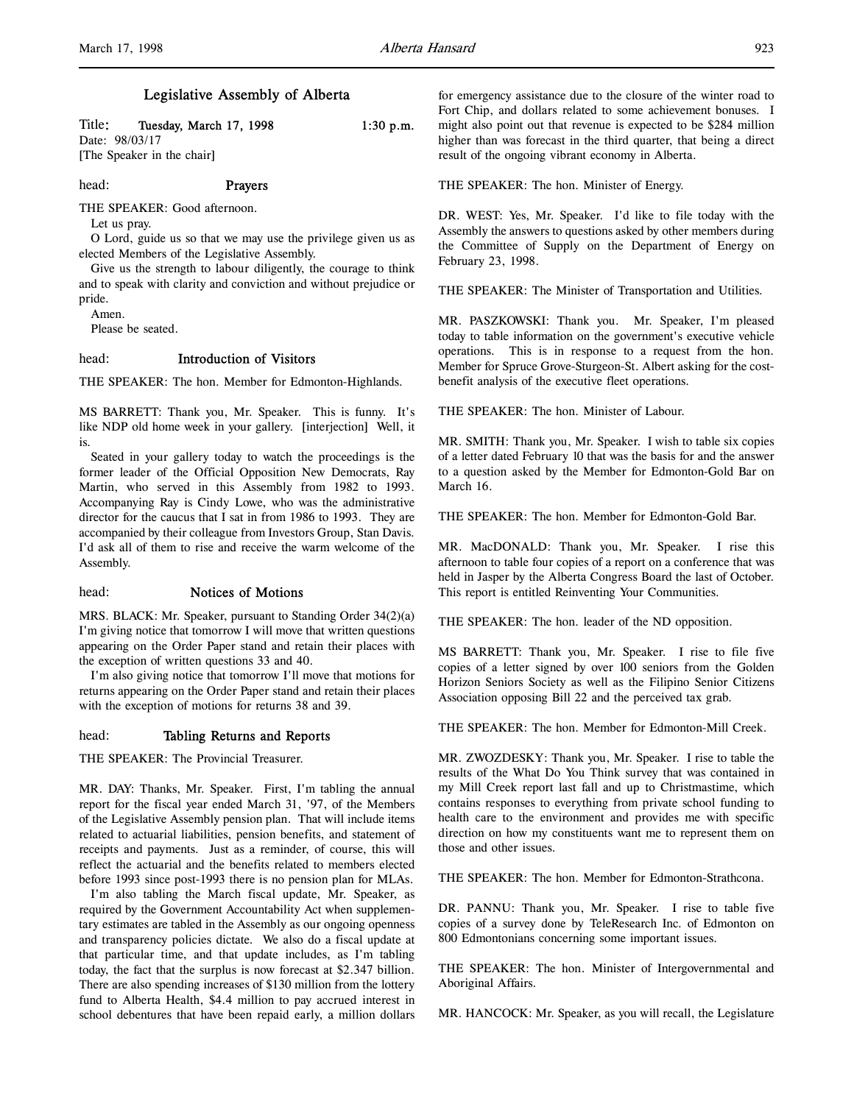# Legislative Assembly of Alberta

| Title: |                | Tuesday, March 17, 1998 | $1:30$ p.m. |
|--------|----------------|-------------------------|-------------|
|        | Date: 98/03/17 |                         |             |
| _____  |                |                         |             |

[The Speaker in the chair]

### head: Prayers

THE SPEAKER: Good afternoon.

Let us pray.

O Lord, guide us so that we may use the privilege given us as elected Members of the Legislative Assembly.

Give us the strength to labour diligently, the courage to think and to speak with clarity and conviction and without prejudice or pride.

Amen.

Please be seated.

## head: Introduction of Visitors

THE SPEAKER: The hon. Member for Edmonton-Highlands.

MS BARRETT: Thank you, Mr. Speaker. This is funny. It's like NDP old home week in your gallery. [interjection] Well, it is.

Seated in your gallery today to watch the proceedings is the former leader of the Official Opposition New Democrats, Ray Martin, who served in this Assembly from 1982 to 1993. Accompanying Ray is Cindy Lowe, who was the administrative director for the caucus that I sat in from 1986 to 1993. They are accompanied by their colleague from Investors Group, Stan Davis. I'd ask all of them to rise and receive the warm welcome of the Assembly.

### head: Notices of Motions

MRS. BLACK: Mr. Speaker, pursuant to Standing Order 34(2)(a) I'm giving notice that tomorrow I will move that written questions appearing on the Order Paper stand and retain their places with the exception of written questions 33 and 40.

I'm also giving notice that tomorrow I'll move that motions for returns appearing on the Order Paper stand and retain their places with the exception of motions for returns 38 and 39.

### head: Tabling Returns and Reports

THE SPEAKER: The Provincial Treasurer.

MR. DAY: Thanks, Mr. Speaker. First, I'm tabling the annual report for the fiscal year ended March 31, '97, of the Members of the Legislative Assembly pension plan. That will include items related to actuarial liabilities, pension benefits, and statement of receipts and payments. Just as a reminder, of course, this will reflect the actuarial and the benefits related to members elected before 1993 since post-1993 there is no pension plan for MLAs.

I'm also tabling the March fiscal update, Mr. Speaker, as required by the Government Accountability Act when supplementary estimates are tabled in the Assembly as our ongoing openness and transparency policies dictate. We also do a fiscal update at that particular time, and that update includes, as I'm tabling today, the fact that the surplus is now forecast at \$2.347 billion. There are also spending increases of \$130 million from the lottery fund to Alberta Health, \$4.4 million to pay accrued interest in school debentures that have been repaid early, a million dollars

for emergency assistance due to the closure of the winter road to Fort Chip, and dollars related to some achievement bonuses. I might also point out that revenue is expected to be \$284 million higher than was forecast in the third quarter, that being a direct result of the ongoing vibrant economy in Alberta.

THE SPEAKER: The hon. Minister of Energy.

DR. WEST: Yes, Mr. Speaker. I'd like to file today with the Assembly the answers to questions asked by other members during the Committee of Supply on the Department of Energy on February 23, 1998.

THE SPEAKER: The Minister of Transportation and Utilities.

MR. PASZKOWSKI: Thank you. Mr. Speaker, I'm pleased today to table information on the government's executive vehicle operations. This is in response to a request from the hon. Member for Spruce Grove-Sturgeon-St. Albert asking for the costbenefit analysis of the executive fleet operations.

THE SPEAKER: The hon. Minister of Labour.

MR. SMITH: Thank you, Mr. Speaker. I wish to table six copies of a letter dated February 10 that was the basis for and the answer to a question asked by the Member for Edmonton-Gold Bar on March 16.

THE SPEAKER: The hon. Member for Edmonton-Gold Bar.

MR. MacDONALD: Thank you, Mr. Speaker. I rise this afternoon to table four copies of a report on a conference that was held in Jasper by the Alberta Congress Board the last of October. This report is entitled Reinventing Your Communities.

THE SPEAKER: The hon. leader of the ND opposition.

MS BARRETT: Thank you, Mr. Speaker. I rise to file five copies of a letter signed by over 100 seniors from the Golden Horizon Seniors Society as well as the Filipino Senior Citizens Association opposing Bill 22 and the perceived tax grab.

THE SPEAKER: The hon. Member for Edmonton-Mill Creek.

MR. ZWOZDESKY: Thank you, Mr. Speaker. I rise to table the results of the What Do You Think survey that was contained in my Mill Creek report last fall and up to Christmastime, which contains responses to everything from private school funding to health care to the environment and provides me with specific direction on how my constituents want me to represent them on those and other issues.

THE SPEAKER: The hon. Member for Edmonton-Strathcona.

DR. PANNU: Thank you, Mr. Speaker. I rise to table five copies of a survey done by TeleResearch Inc. of Edmonton on 800 Edmontonians concerning some important issues.

THE SPEAKER: The hon. Minister of Intergovernmental and Aboriginal Affairs.

MR. HANCOCK: Mr. Speaker, as you will recall, the Legislature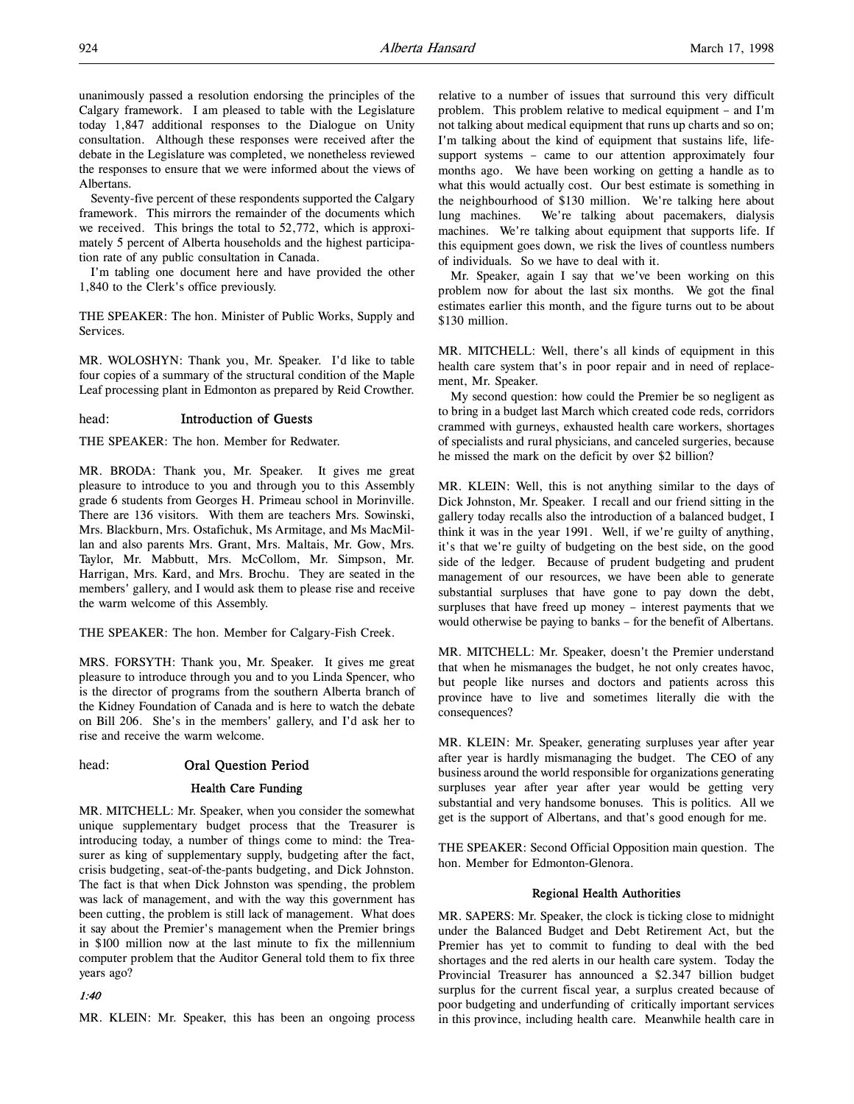unanimously passed a resolution endorsing the principles of the Calgary framework. I am pleased to table with the Legislature today 1,847 additional responses to the Dialogue on Unity consultation. Although these responses were received after the debate in the Legislature was completed, we nonetheless reviewed the responses to ensure that we were informed about the views of Albertans.

Seventy-five percent of these respondents supported the Calgary framework. This mirrors the remainder of the documents which we received. This brings the total to 52,772, which is approximately 5 percent of Alberta households and the highest participation rate of any public consultation in Canada.

I'm tabling one document here and have provided the other 1,840 to the Clerk's office previously.

THE SPEAKER: The hon. Minister of Public Works, Supply and Services.

MR. WOLOSHYN: Thank you, Mr. Speaker. I'd like to table four copies of a summary of the structural condition of the Maple Leaf processing plant in Edmonton as prepared by Reid Crowther.

#### head: Introduction of Guests

THE SPEAKER: The hon. Member for Redwater.

MR. BRODA: Thank you, Mr. Speaker. It gives me great pleasure to introduce to you and through you to this Assembly grade 6 students from Georges H. Primeau school in Morinville. There are 136 visitors. With them are teachers Mrs. Sowinski, Mrs. Blackburn, Mrs. Ostafichuk, Ms Armitage, and Ms MacMillan and also parents Mrs. Grant, Mrs. Maltais, Mr. Gow, Mrs. Taylor, Mr. Mabbutt, Mrs. McCollom, Mr. Simpson, Mr. Harrigan, Mrs. Kard, and Mrs. Brochu. They are seated in the members' gallery, and I would ask them to please rise and receive the warm welcome of this Assembly.

THE SPEAKER: The hon. Member for Calgary-Fish Creek.

MRS. FORSYTH: Thank you, Mr. Speaker. It gives me great pleasure to introduce through you and to you Linda Spencer, who is the director of programs from the southern Alberta branch of the Kidney Foundation of Canada and is here to watch the debate on Bill 206. She's in the members' gallery, and I'd ask her to rise and receive the warm welcome.

### head: Oral Question Period

### Health Care Funding

MR. MITCHELL: Mr. Speaker, when you consider the somewhat unique supplementary budget process that the Treasurer is introducing today, a number of things come to mind: the Treasurer as king of supplementary supply, budgeting after the fact, crisis budgeting, seat-of-the-pants budgeting, and Dick Johnston. The fact is that when Dick Johnston was spending, the problem was lack of management, and with the way this government has been cutting, the problem is still lack of management. What does it say about the Premier's management when the Premier brings in \$100 million now at the last minute to fix the millennium computer problem that the Auditor General told them to fix three years ago?

1:40

MR. KLEIN: Mr. Speaker, this has been an ongoing process

relative to a number of issues that surround this very difficult problem. This problem relative to medical equipment – and I'm not talking about medical equipment that runs up charts and so on; I'm talking about the kind of equipment that sustains life, lifesupport systems – came to our attention approximately four months ago. We have been working on getting a handle as to what this would actually cost. Our best estimate is something in the neighbourhood of \$130 million. We're talking here about lung machines. We're talking about pacemakers, dialysis machines. We're talking about equipment that supports life. If this equipment goes down, we risk the lives of countless numbers of individuals. So we have to deal with it.

Mr. Speaker, again I say that we've been working on this problem now for about the last six months. We got the final estimates earlier this month, and the figure turns out to be about \$130 million.

MR. MITCHELL: Well, there's all kinds of equipment in this health care system that's in poor repair and in need of replacement, Mr. Speaker.

My second question: how could the Premier be so negligent as to bring in a budget last March which created code reds, corridors crammed with gurneys, exhausted health care workers, shortages of specialists and rural physicians, and canceled surgeries, because he missed the mark on the deficit by over \$2 billion?

MR. KLEIN: Well, this is not anything similar to the days of Dick Johnston, Mr. Speaker. I recall and our friend sitting in the gallery today recalls also the introduction of a balanced budget, I think it was in the year 1991. Well, if we're guilty of anything, it's that we're guilty of budgeting on the best side, on the good side of the ledger. Because of prudent budgeting and prudent management of our resources, we have been able to generate substantial surpluses that have gone to pay down the debt, surpluses that have freed up money – interest payments that we would otherwise be paying to banks – for the benefit of Albertans.

MR. MITCHELL: Mr. Speaker, doesn't the Premier understand that when he mismanages the budget, he not only creates havoc, but people like nurses and doctors and patients across this province have to live and sometimes literally die with the consequences?

MR. KLEIN: Mr. Speaker, generating surpluses year after year after year is hardly mismanaging the budget. The CEO of any business around the world responsible for organizations generating surpluses year after year after year would be getting very substantial and very handsome bonuses. This is politics. All we get is the support of Albertans, and that's good enough for me.

THE SPEAKER: Second Official Opposition main question. The hon. Member for Edmonton-Glenora.

#### Regional Health Authorities

MR. SAPERS: Mr. Speaker, the clock is ticking close to midnight under the Balanced Budget and Debt Retirement Act, but the Premier has yet to commit to funding to deal with the bed shortages and the red alerts in our health care system. Today the Provincial Treasurer has announced a \$2.347 billion budget surplus for the current fiscal year, a surplus created because of poor budgeting and underfunding of critically important services in this province, including health care. Meanwhile health care in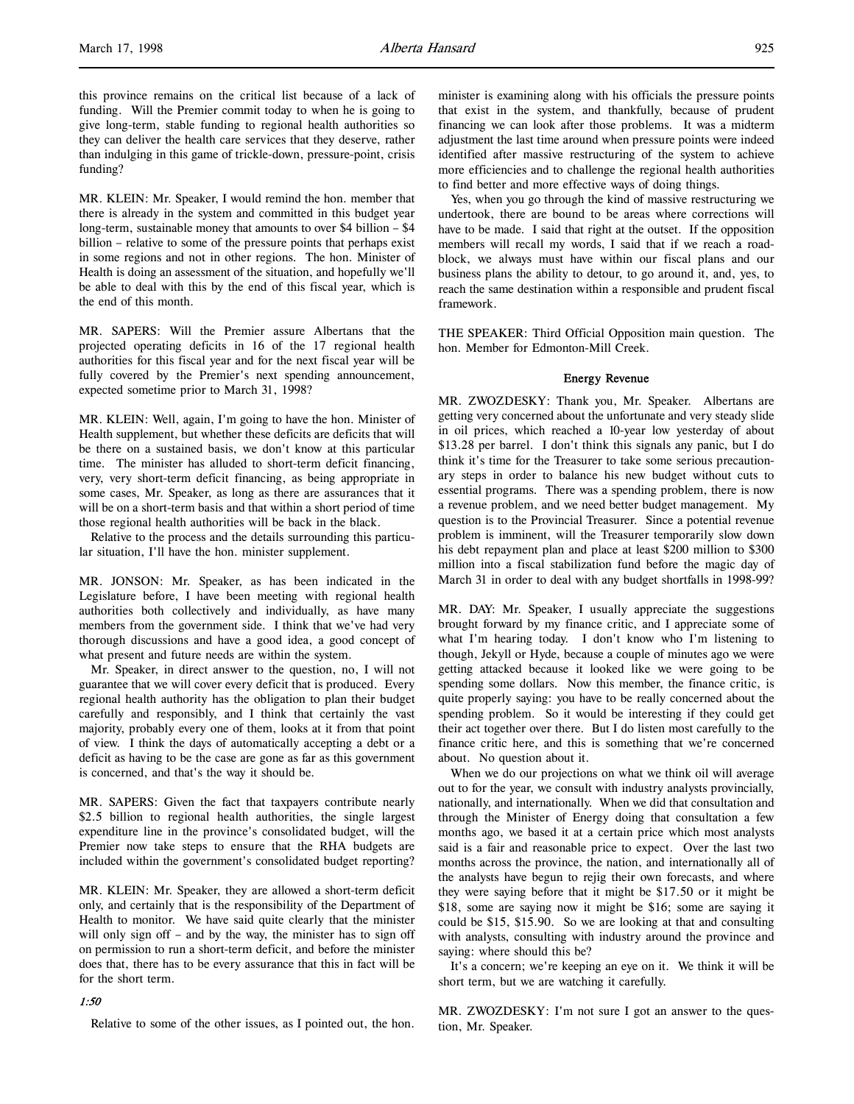this province remains on the critical list because of a lack of funding. Will the Premier commit today to when he is going to give long-term, stable funding to regional health authorities so they can deliver the health care services that they deserve, rather than indulging in this game of trickle-down, pressure-point, crisis funding?

MR. KLEIN: Mr. Speaker, I would remind the hon. member that there is already in the system and committed in this budget year long-term, sustainable money that amounts to over \$4 billion – \$4 billion – relative to some of the pressure points that perhaps exist in some regions and not in other regions. The hon. Minister of Health is doing an assessment of the situation, and hopefully we'll be able to deal with this by the end of this fiscal year, which is the end of this month.

MR. SAPERS: Will the Premier assure Albertans that the projected operating deficits in 16 of the 17 regional health authorities for this fiscal year and for the next fiscal year will be fully covered by the Premier's next spending announcement, expected sometime prior to March 31, 1998?

MR. KLEIN: Well, again, I'm going to have the hon. Minister of Health supplement, but whether these deficits are deficits that will be there on a sustained basis, we don't know at this particular time. The minister has alluded to short-term deficit financing, very, very short-term deficit financing, as being appropriate in some cases, Mr. Speaker, as long as there are assurances that it will be on a short-term basis and that within a short period of time those regional health authorities will be back in the black.

Relative to the process and the details surrounding this particular situation, I'll have the hon. minister supplement.

MR. JONSON: Mr. Speaker, as has been indicated in the Legislature before, I have been meeting with regional health authorities both collectively and individually, as have many members from the government side. I think that we've had very thorough discussions and have a good idea, a good concept of what present and future needs are within the system.

Mr. Speaker, in direct answer to the question, no, I will not guarantee that we will cover every deficit that is produced. Every regional health authority has the obligation to plan their budget carefully and responsibly, and I think that certainly the vast majority, probably every one of them, looks at it from that point of view. I think the days of automatically accepting a debt or a deficit as having to be the case are gone as far as this government is concerned, and that's the way it should be.

MR. SAPERS: Given the fact that taxpayers contribute nearly \$2.5 billion to regional health authorities, the single largest expenditure line in the province's consolidated budget, will the Premier now take steps to ensure that the RHA budgets are included within the government's consolidated budget reporting?

MR. KLEIN: Mr. Speaker, they are allowed a short-term deficit only, and certainly that is the responsibility of the Department of Health to monitor. We have said quite clearly that the minister will only sign off – and by the way, the minister has to sign off on permission to run a short-term deficit, and before the minister does that, there has to be every assurance that this in fact will be for the short term.

### 1:50

Relative to some of the other issues, as I pointed out, the hon.

minister is examining along with his officials the pressure points that exist in the system, and thankfully, because of prudent financing we can look after those problems. It was a midterm adjustment the last time around when pressure points were indeed identified after massive restructuring of the system to achieve more efficiencies and to challenge the regional health authorities to find better and more effective ways of doing things.

Yes, when you go through the kind of massive restructuring we undertook, there are bound to be areas where corrections will have to be made. I said that right at the outset. If the opposition members will recall my words, I said that if we reach a roadblock, we always must have within our fiscal plans and our business plans the ability to detour, to go around it, and, yes, to reach the same destination within a responsible and prudent fiscal framework.

THE SPEAKER: Third Official Opposition main question. The hon. Member for Edmonton-Mill Creek.

## Energy Revenue

MR. ZWOZDESKY: Thank you, Mr. Speaker. Albertans are getting very concerned about the unfortunate and very steady slide in oil prices, which reached a 10-year low yesterday of about \$13.28 per barrel. I don't think this signals any panic, but I do think it's time for the Treasurer to take some serious precautionary steps in order to balance his new budget without cuts to essential programs. There was a spending problem, there is now a revenue problem, and we need better budget management. My question is to the Provincial Treasurer. Since a potential revenue problem is imminent, will the Treasurer temporarily slow down his debt repayment plan and place at least \$200 million to \$300 million into a fiscal stabilization fund before the magic day of March 31 in order to deal with any budget shortfalls in 1998-99?

MR. DAY: Mr. Speaker, I usually appreciate the suggestions brought forward by my finance critic, and I appreciate some of what I'm hearing today. I don't know who I'm listening to though, Jekyll or Hyde, because a couple of minutes ago we were getting attacked because it looked like we were going to be spending some dollars. Now this member, the finance critic, is quite properly saying: you have to be really concerned about the spending problem. So it would be interesting if they could get their act together over there. But I do listen most carefully to the finance critic here, and this is something that we're concerned about. No question about it.

When we do our projections on what we think oil will average out to for the year, we consult with industry analysts provincially, nationally, and internationally. When we did that consultation and through the Minister of Energy doing that consultation a few months ago, we based it at a certain price which most analysts said is a fair and reasonable price to expect. Over the last two months across the province, the nation, and internationally all of the analysts have begun to rejig their own forecasts, and where they were saying before that it might be \$17.50 or it might be \$18, some are saying now it might be \$16; some are saying it could be \$15, \$15.90. So we are looking at that and consulting with analysts, consulting with industry around the province and saying: where should this be?

It's a concern; we're keeping an eye on it. We think it will be short term, but we are watching it carefully.

MR. ZWOZDESKY: I'm not sure I got an answer to the question, Mr. Speaker.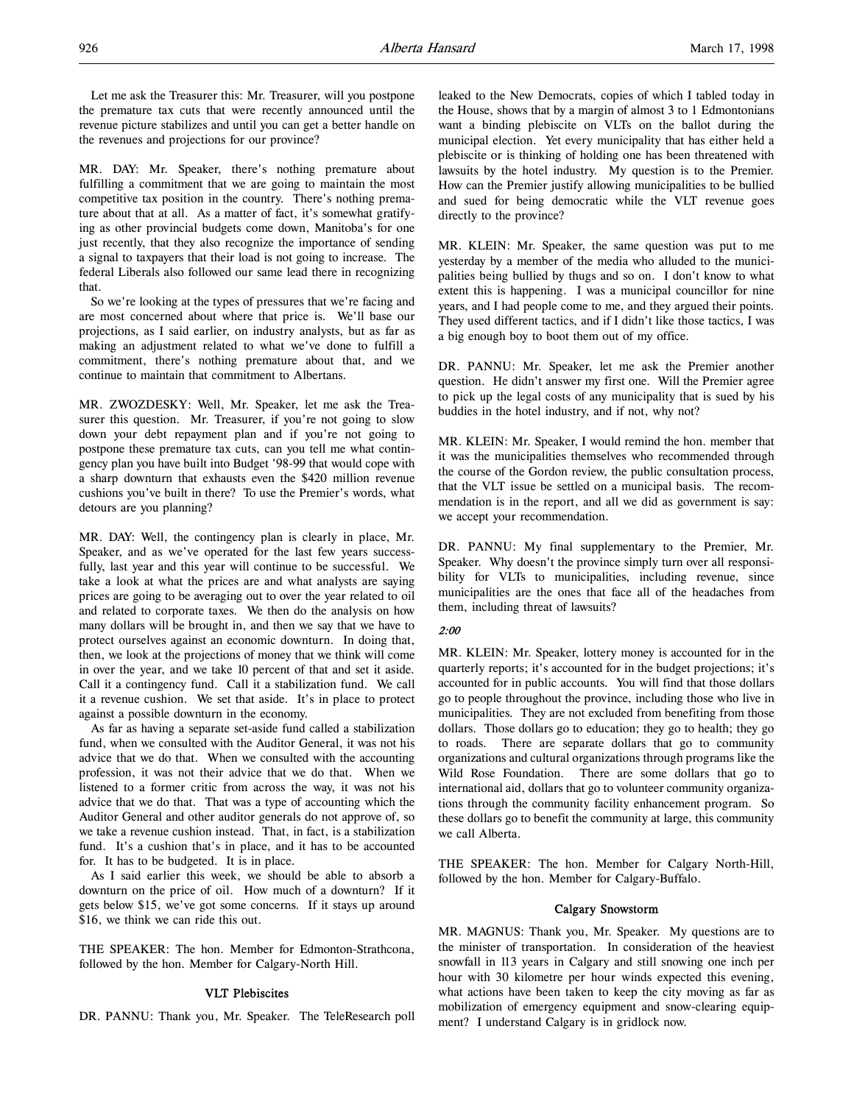Let me ask the Treasurer this: Mr. Treasurer, will you postpone the premature tax cuts that were recently announced until the revenue picture stabilizes and until you can get a better handle on the revenues and projections for our province?

MR. DAY: Mr. Speaker, there's nothing premature about fulfilling a commitment that we are going to maintain the most competitive tax position in the country. There's nothing premature about that at all. As a matter of fact, it's somewhat gratifying as other provincial budgets come down, Manitoba's for one just recently, that they also recognize the importance of sending a signal to taxpayers that their load is not going to increase. The federal Liberals also followed our same lead there in recognizing that.

So we're looking at the types of pressures that we're facing and are most concerned about where that price is. We'll base our projections, as I said earlier, on industry analysts, but as far as making an adjustment related to what we've done to fulfill a commitment, there's nothing premature about that, and we continue to maintain that commitment to Albertans.

MR. ZWOZDESKY: Well, Mr. Speaker, let me ask the Treasurer this question. Mr. Treasurer, if you're not going to slow down your debt repayment plan and if you're not going to postpone these premature tax cuts, can you tell me what contingency plan you have built into Budget '98-99 that would cope with a sharp downturn that exhausts even the \$420 million revenue cushions you've built in there? To use the Premier's words, what detours are you planning?

MR. DAY: Well, the contingency plan is clearly in place, Mr. Speaker, and as we've operated for the last few years successfully, last year and this year will continue to be successful. We take a look at what the prices are and what analysts are saying prices are going to be averaging out to over the year related to oil and related to corporate taxes. We then do the analysis on how many dollars will be brought in, and then we say that we have to protect ourselves against an economic downturn. In doing that, then, we look at the projections of money that we think will come in over the year, and we take 10 percent of that and set it aside. Call it a contingency fund. Call it a stabilization fund. We call it a revenue cushion. We set that aside. It's in place to protect against a possible downturn in the economy.

As far as having a separate set-aside fund called a stabilization fund, when we consulted with the Auditor General, it was not his advice that we do that. When we consulted with the accounting profession, it was not their advice that we do that. When we listened to a former critic from across the way, it was not his advice that we do that. That was a type of accounting which the Auditor General and other auditor generals do not approve of, so we take a revenue cushion instead. That, in fact, is a stabilization fund. It's a cushion that's in place, and it has to be accounted for. It has to be budgeted. It is in place.

As I said earlier this week, we should be able to absorb a downturn on the price of oil. How much of a downturn? If it gets below \$15, we've got some concerns. If it stays up around \$16, we think we can ride this out.

THE SPEAKER: The hon. Member for Edmonton-Strathcona, followed by the hon. Member for Calgary-North Hill.

#### VLT Plebiscites

DR. PANNU: Thank you, Mr. Speaker. The TeleResearch poll

leaked to the New Democrats, copies of which I tabled today in the House, shows that by a margin of almost 3 to 1 Edmontonians want a binding plebiscite on VLTs on the ballot during the municipal election. Yet every municipality that has either held a plebiscite or is thinking of holding one has been threatened with lawsuits by the hotel industry. My question is to the Premier. How can the Premier justify allowing municipalities to be bullied and sued for being democratic while the VLT revenue goes directly to the province?

MR. KLEIN: Mr. Speaker, the same question was put to me yesterday by a member of the media who alluded to the municipalities being bullied by thugs and so on. I don't know to what extent this is happening. I was a municipal councillor for nine years, and I had people come to me, and they argued their points. They used different tactics, and if I didn't like those tactics, I was a big enough boy to boot them out of my office.

DR. PANNU: Mr. Speaker, let me ask the Premier another question. He didn't answer my first one. Will the Premier agree to pick up the legal costs of any municipality that is sued by his buddies in the hotel industry, and if not, why not?

MR. KLEIN: Mr. Speaker, I would remind the hon. member that it was the municipalities themselves who recommended through the course of the Gordon review, the public consultation process, that the VLT issue be settled on a municipal basis. The recommendation is in the report, and all we did as government is say: we accept your recommendation.

DR. PANNU: My final supplementary to the Premier, Mr. Speaker. Why doesn't the province simply turn over all responsibility for VLTs to municipalities, including revenue, since municipalities are the ones that face all of the headaches from them, including threat of lawsuits?

## 2:00

MR. KLEIN: Mr. Speaker, lottery money is accounted for in the quarterly reports; it's accounted for in the budget projections; it's accounted for in public accounts. You will find that those dollars go to people throughout the province, including those who live in municipalities. They are not excluded from benefiting from those dollars. Those dollars go to education; they go to health; they go to roads. There are separate dollars that go to community organizations and cultural organizations through programs like the Wild Rose Foundation. There are some dollars that go to international aid, dollars that go to volunteer community organizations through the community facility enhancement program. So these dollars go to benefit the community at large, this community we call Alberta.

THE SPEAKER: The hon. Member for Calgary North-Hill, followed by the hon. Member for Calgary-Buffalo.

### Calgary Snowstorm

MR. MAGNUS: Thank you, Mr. Speaker. My questions are to the minister of transportation. In consideration of the heaviest snowfall in 113 years in Calgary and still snowing one inch per hour with 30 kilometre per hour winds expected this evening, what actions have been taken to keep the city moving as far as mobilization of emergency equipment and snow-clearing equipment? I understand Calgary is in gridlock now.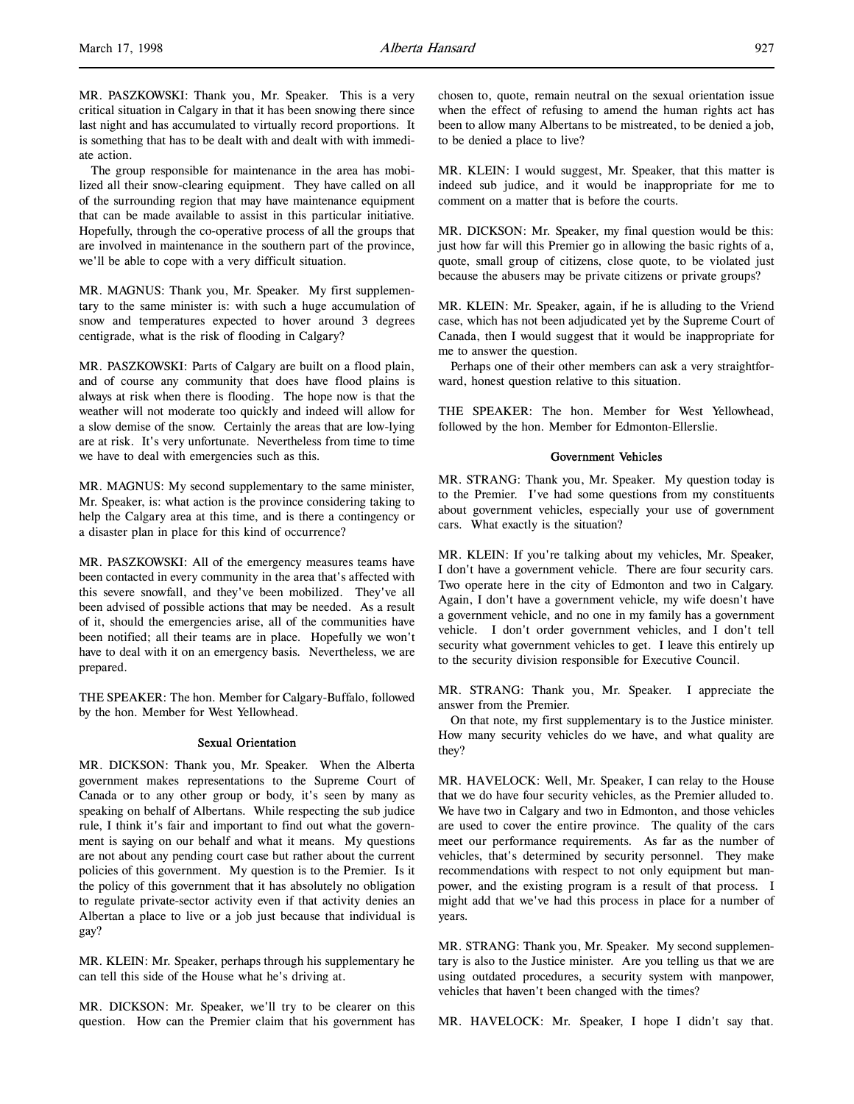MR. PASZKOWSKI: Thank you, Mr. Speaker. This is a very critical situation in Calgary in that it has been snowing there since last night and has accumulated to virtually record proportions. It is something that has to be dealt with and dealt with with immediate action.

The group responsible for maintenance in the area has mobilized all their snow-clearing equipment. They have called on all of the surrounding region that may have maintenance equipment that can be made available to assist in this particular initiative. Hopefully, through the co-operative process of all the groups that are involved in maintenance in the southern part of the province, we'll be able to cope with a very difficult situation.

MR. MAGNUS: Thank you, Mr. Speaker. My first supplementary to the same minister is: with such a huge accumulation of snow and temperatures expected to hover around 3 degrees centigrade, what is the risk of flooding in Calgary?

MR. PASZKOWSKI: Parts of Calgary are built on a flood plain, and of course any community that does have flood plains is always at risk when there is flooding. The hope now is that the weather will not moderate too quickly and indeed will allow for a slow demise of the snow. Certainly the areas that are low-lying are at risk. It's very unfortunate. Nevertheless from time to time we have to deal with emergencies such as this.

MR. MAGNUS: My second supplementary to the same minister, Mr. Speaker, is: what action is the province considering taking to help the Calgary area at this time, and is there a contingency or a disaster plan in place for this kind of occurrence?

MR. PASZKOWSKI: All of the emergency measures teams have been contacted in every community in the area that's affected with this severe snowfall, and they've been mobilized. They've all been advised of possible actions that may be needed. As a result of it, should the emergencies arise, all of the communities have been notified; all their teams are in place. Hopefully we won't have to deal with it on an emergency basis. Nevertheless, we are prepared.

THE SPEAKER: The hon. Member for Calgary-Buffalo, followed by the hon. Member for West Yellowhead.

### Sexual Orientation

MR. DICKSON: Thank you, Mr. Speaker. When the Alberta government makes representations to the Supreme Court of Canada or to any other group or body, it's seen by many as speaking on behalf of Albertans. While respecting the sub judice rule, I think it's fair and important to find out what the government is saying on our behalf and what it means. My questions are not about any pending court case but rather about the current policies of this government. My question is to the Premier. Is it the policy of this government that it has absolutely no obligation to regulate private-sector activity even if that activity denies an Albertan a place to live or a job just because that individual is gay?

MR. KLEIN: Mr. Speaker, perhaps through his supplementary he can tell this side of the House what he's driving at.

MR. DICKSON: Mr. Speaker, we'll try to be clearer on this question. How can the Premier claim that his government has chosen to, quote, remain neutral on the sexual orientation issue when the effect of refusing to amend the human rights act has been to allow many Albertans to be mistreated, to be denied a job, to be denied a place to live?

MR. KLEIN: I would suggest, Mr. Speaker, that this matter is indeed sub judice, and it would be inappropriate for me to comment on a matter that is before the courts.

MR. DICKSON: Mr. Speaker, my final question would be this: just how far will this Premier go in allowing the basic rights of a, quote, small group of citizens, close quote, to be violated just because the abusers may be private citizens or private groups?

MR. KLEIN: Mr. Speaker, again, if he is alluding to the Vriend case, which has not been adjudicated yet by the Supreme Court of Canada, then I would suggest that it would be inappropriate for me to answer the question.

Perhaps one of their other members can ask a very straightforward, honest question relative to this situation.

THE SPEAKER: The hon. Member for West Yellowhead, followed by the hon. Member for Edmonton-Ellerslie.

#### Government Vehicles

MR. STRANG: Thank you, Mr. Speaker. My question today is to the Premier. I've had some questions from my constituents about government vehicles, especially your use of government cars. What exactly is the situation?

MR. KLEIN: If you're talking about my vehicles, Mr. Speaker, I don't have a government vehicle. There are four security cars. Two operate here in the city of Edmonton and two in Calgary. Again, I don't have a government vehicle, my wife doesn't have a government vehicle, and no one in my family has a government vehicle. I don't order government vehicles, and I don't tell security what government vehicles to get. I leave this entirely up to the security division responsible for Executive Council.

MR. STRANG: Thank you, Mr. Speaker. I appreciate the answer from the Premier.

On that note, my first supplementary is to the Justice minister. How many security vehicles do we have, and what quality are they?

MR. HAVELOCK: Well, Mr. Speaker, I can relay to the House that we do have four security vehicles, as the Premier alluded to. We have two in Calgary and two in Edmonton, and those vehicles are used to cover the entire province. The quality of the cars meet our performance requirements. As far as the number of vehicles, that's determined by security personnel. They make recommendations with respect to not only equipment but manpower, and the existing program is a result of that process. I might add that we've had this process in place for a number of years.

MR. STRANG: Thank you, Mr. Speaker. My second supplementary is also to the Justice minister. Are you telling us that we are using outdated procedures, a security system with manpower, vehicles that haven't been changed with the times?

MR. HAVELOCK: Mr. Speaker, I hope I didn't say that.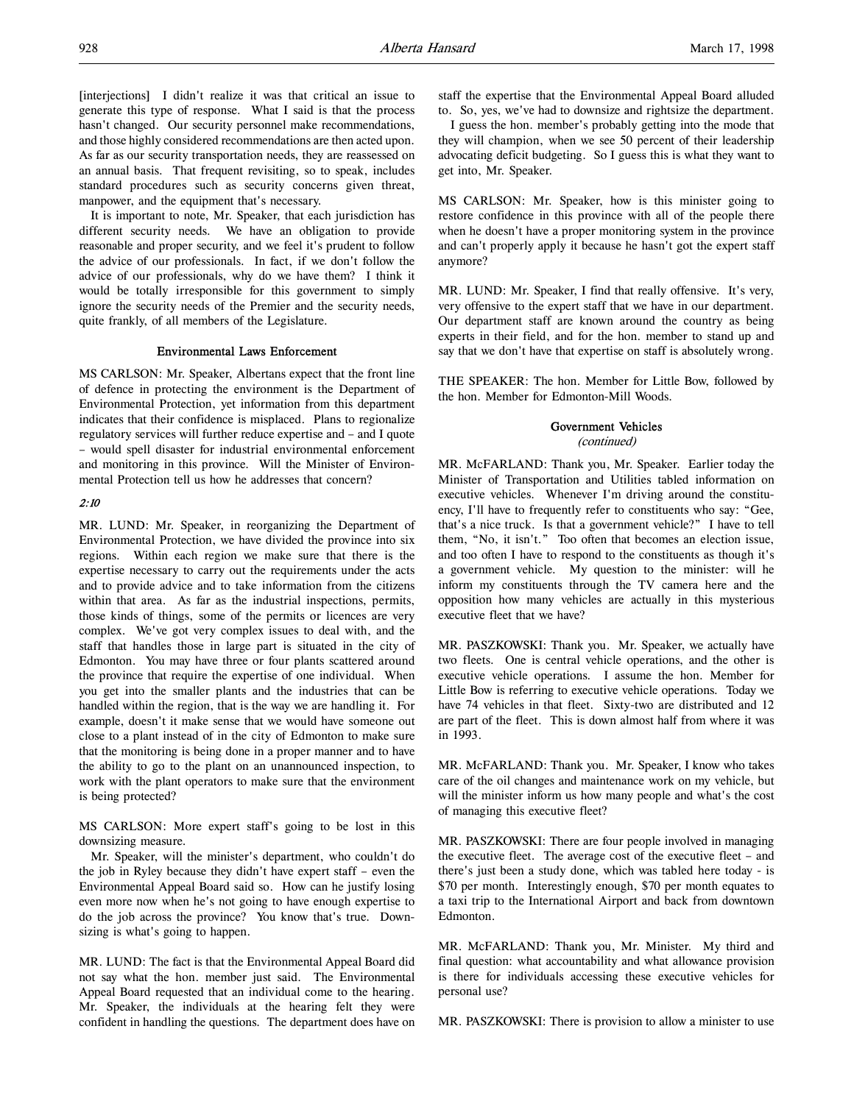[interjections] I didn't realize it was that critical an issue to generate this type of response. What I said is that the process hasn't changed. Our security personnel make recommendations, and those highly considered recommendations are then acted upon. As far as our security transportation needs, they are reassessed on an annual basis. That frequent revisiting, so to speak, includes standard procedures such as security concerns given threat, manpower, and the equipment that's necessary.

It is important to note, Mr. Speaker, that each jurisdiction has different security needs. We have an obligation to provide reasonable and proper security, and we feel it's prudent to follow the advice of our professionals. In fact, if we don't follow the advice of our professionals, why do we have them? I think it would be totally irresponsible for this government to simply ignore the security needs of the Premier and the security needs, quite frankly, of all members of the Legislature.

### Environmental Laws Enforcement

MS CARLSON: Mr. Speaker, Albertans expect that the front line of defence in protecting the environment is the Department of Environmental Protection, yet information from this department indicates that their confidence is misplaced. Plans to regionalize regulatory services will further reduce expertise and – and I quote – would spell disaster for industrial environmental enforcement and monitoring in this province. Will the Minister of Environmental Protection tell us how he addresses that concern?

### 2:10

MR. LUND: Mr. Speaker, in reorganizing the Department of Environmental Protection, we have divided the province into six regions. Within each region we make sure that there is the expertise necessary to carry out the requirements under the acts and to provide advice and to take information from the citizens within that area. As far as the industrial inspections, permits, those kinds of things, some of the permits or licences are very complex. We've got very complex issues to deal with, and the staff that handles those in large part is situated in the city of Edmonton. You may have three or four plants scattered around the province that require the expertise of one individual. When you get into the smaller plants and the industries that can be handled within the region, that is the way we are handling it. For example, doesn't it make sense that we would have someone out close to a plant instead of in the city of Edmonton to make sure that the monitoring is being done in a proper manner and to have the ability to go to the plant on an unannounced inspection, to work with the plant operators to make sure that the environment is being protected?

MS CARLSON: More expert staff's going to be lost in this downsizing measure.

Mr. Speaker, will the minister's department, who couldn't do the job in Ryley because they didn't have expert staff – even the Environmental Appeal Board said so. How can he justify losing even more now when he's not going to have enough expertise to do the job across the province? You know that's true. Downsizing is what's going to happen.

MR. LUND: The fact is that the Environmental Appeal Board did not say what the hon. member just said. The Environmental Appeal Board requested that an individual come to the hearing. Mr. Speaker, the individuals at the hearing felt they were confident in handling the questions. The department does have on staff the expertise that the Environmental Appeal Board alluded to. So, yes, we've had to downsize and rightsize the department.

I guess the hon. member's probably getting into the mode that they will champion, when we see 50 percent of their leadership advocating deficit budgeting. So I guess this is what they want to get into, Mr. Speaker.

MS CARLSON: Mr. Speaker, how is this minister going to restore confidence in this province with all of the people there when he doesn't have a proper monitoring system in the province and can't properly apply it because he hasn't got the expert staff anymore?

MR. LUND: Mr. Speaker, I find that really offensive. It's very, very offensive to the expert staff that we have in our department. Our department staff are known around the country as being experts in their field, and for the hon. member to stand up and say that we don't have that expertise on staff is absolutely wrong.

THE SPEAKER: The hon. Member for Little Bow, followed by the hon. Member for Edmonton-Mill Woods.

#### Government Vehicles

(continued)

MR. McFARLAND: Thank you, Mr. Speaker. Earlier today the Minister of Transportation and Utilities tabled information on executive vehicles. Whenever I'm driving around the constituency, I'll have to frequently refer to constituents who say: "Gee, that's a nice truck. Is that a government vehicle?" I have to tell them, "No, it isn't." Too often that becomes an election issue, and too often I have to respond to the constituents as though it's a government vehicle. My question to the minister: will he inform my constituents through the TV camera here and the opposition how many vehicles are actually in this mysterious executive fleet that we have?

MR. PASZKOWSKI: Thank you. Mr. Speaker, we actually have two fleets. One is central vehicle operations, and the other is executive vehicle operations. I assume the hon. Member for Little Bow is referring to executive vehicle operations. Today we have 74 vehicles in that fleet. Sixty-two are distributed and 12 are part of the fleet. This is down almost half from where it was in 1993.

MR. McFARLAND: Thank you. Mr. Speaker, I know who takes care of the oil changes and maintenance work on my vehicle, but will the minister inform us how many people and what's the cost of managing this executive fleet?

MR. PASZKOWSKI: There are four people involved in managing the executive fleet. The average cost of the executive fleet – and there's just been a study done, which was tabled here today - is \$70 per month. Interestingly enough, \$70 per month equates to a taxi trip to the International Airport and back from downtown Edmonton.

MR. McFARLAND: Thank you, Mr. Minister. My third and final question: what accountability and what allowance provision is there for individuals accessing these executive vehicles for personal use?

MR. PASZKOWSKI: There is provision to allow a minister to use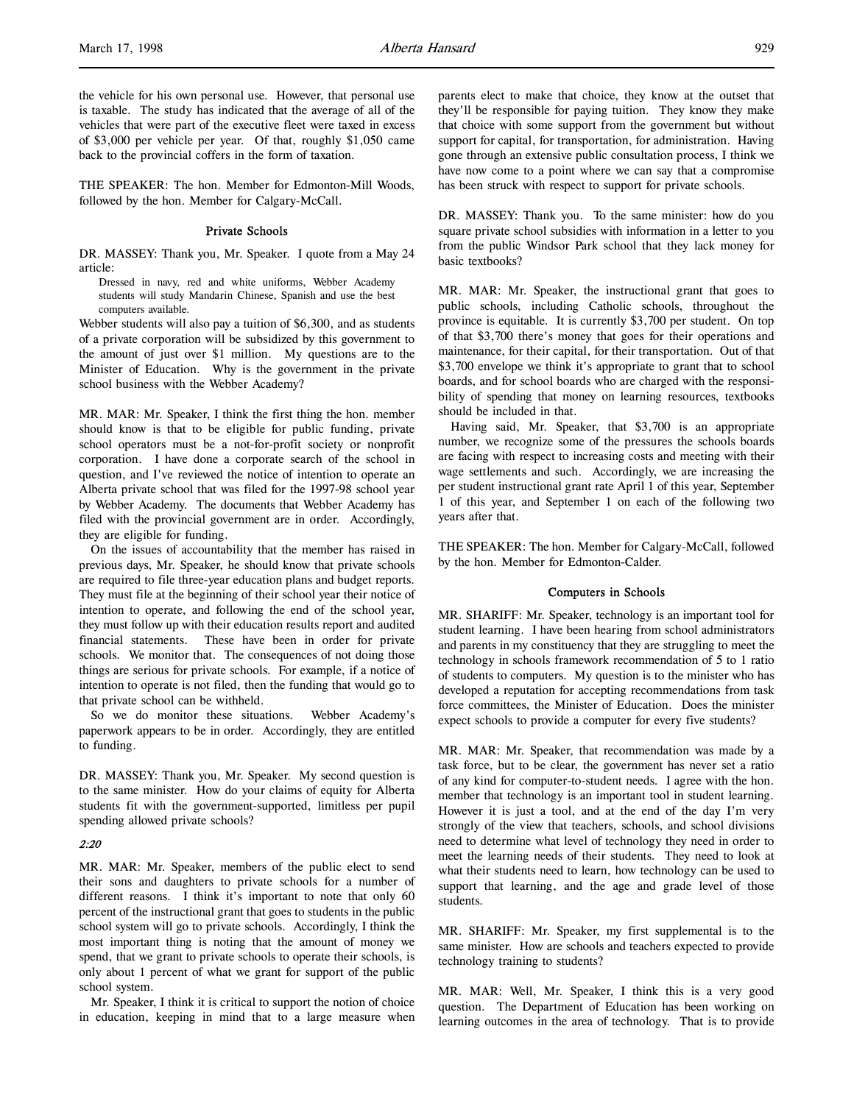the vehicle for his own personal use. However, that personal use is taxable. The study has indicated that the average of all of the vehicles that were part of the executive fleet were taxed in excess of \$3,000 per vehicle per year. Of that, roughly \$1,050 came back to the provincial coffers in the form of taxation.

THE SPEAKER: The hon. Member for Edmonton-Mill Woods, followed by the hon. Member for Calgary-McCall.

#### Private Schools

DR. MASSEY: Thank you, Mr. Speaker. I quote from a May 24 article:

Dressed in navy, red and white uniforms, Webber Academy students will study Mandarin Chinese, Spanish and use the best computers available.

Webber students will also pay a tuition of \$6,300, and as students of a private corporation will be subsidized by this government to the amount of just over \$1 million. My questions are to the Minister of Education. Why is the government in the private school business with the Webber Academy?

MR. MAR: Mr. Speaker, I think the first thing the hon. member should know is that to be eligible for public funding, private school operators must be a not-for-profit society or nonprofit corporation. I have done a corporate search of the school in question, and I've reviewed the notice of intention to operate an Alberta private school that was filed for the 1997-98 school year by Webber Academy. The documents that Webber Academy has filed with the provincial government are in order. Accordingly, they are eligible for funding.

On the issues of accountability that the member has raised in previous days, Mr. Speaker, he should know that private schools are required to file three-year education plans and budget reports. They must file at the beginning of their school year their notice of intention to operate, and following the end of the school year, they must follow up with their education results report and audited financial statements. These have been in order for private schools. We monitor that. The consequences of not doing those things are serious for private schools. For example, if a notice of intention to operate is not filed, then the funding that would go to that private school can be withheld.

So we do monitor these situations. Webber Academy's paperwork appears to be in order. Accordingly, they are entitled to funding.

DR. MASSEY: Thank you, Mr. Speaker. My second question is to the same minister. How do your claims of equity for Alberta students fit with the government-supported, limitless per pupil spending allowed private schools?

### 2:20

MR. MAR: Mr. Speaker, members of the public elect to send their sons and daughters to private schools for a number of different reasons. I think it's important to note that only 60 percent of the instructional grant that goes to students in the public school system will go to private schools. Accordingly, I think the most important thing is noting that the amount of money we spend, that we grant to private schools to operate their schools, is only about 1 percent of what we grant for support of the public school system.

Mr. Speaker, I think it is critical to support the notion of choice in education, keeping in mind that to a large measure when

parents elect to make that choice, they know at the outset that they'll be responsible for paying tuition. They know they make that choice with some support from the government but without support for capital, for transportation, for administration. Having gone through an extensive public consultation process, I think we have now come to a point where we can say that a compromise has been struck with respect to support for private schools.

DR. MASSEY: Thank you. To the same minister: how do you square private school subsidies with information in a letter to you from the public Windsor Park school that they lack money for basic textbooks?

MR. MAR: Mr. Speaker, the instructional grant that goes to public schools, including Catholic schools, throughout the province is equitable. It is currently \$3,700 per student. On top of that \$3,700 there's money that goes for their operations and maintenance, for their capital, for their transportation. Out of that \$3,700 envelope we think it's appropriate to grant that to school boards, and for school boards who are charged with the responsibility of spending that money on learning resources, textbooks should be included in that.

Having said, Mr. Speaker, that \$3,700 is an appropriate number, we recognize some of the pressures the schools boards are facing with respect to increasing costs and meeting with their wage settlements and such. Accordingly, we are increasing the per student instructional grant rate April 1 of this year, September 1 of this year, and September 1 on each of the following two years after that.

THE SPEAKER: The hon. Member for Calgary-McCall, followed by the hon. Member for Edmonton-Calder.

### Computers in Schools

MR. SHARIFF: Mr. Speaker, technology is an important tool for student learning. I have been hearing from school administrators and parents in my constituency that they are struggling to meet the technology in schools framework recommendation of 5 to 1 ratio of students to computers. My question is to the minister who has developed a reputation for accepting recommendations from task force committees, the Minister of Education. Does the minister expect schools to provide a computer for every five students?

MR. MAR: Mr. Speaker, that recommendation was made by a task force, but to be clear, the government has never set a ratio of any kind for computer-to-student needs. I agree with the hon. member that technology is an important tool in student learning. However it is just a tool, and at the end of the day I'm very strongly of the view that teachers, schools, and school divisions need to determine what level of technology they need in order to meet the learning needs of their students. They need to look at what their students need to learn, how technology can be used to support that learning, and the age and grade level of those students.

MR. SHARIFF: Mr. Speaker, my first supplemental is to the same minister. How are schools and teachers expected to provide technology training to students?

MR. MAR: Well, Mr. Speaker, I think this is a very good question. The Department of Education has been working on learning outcomes in the area of technology. That is to provide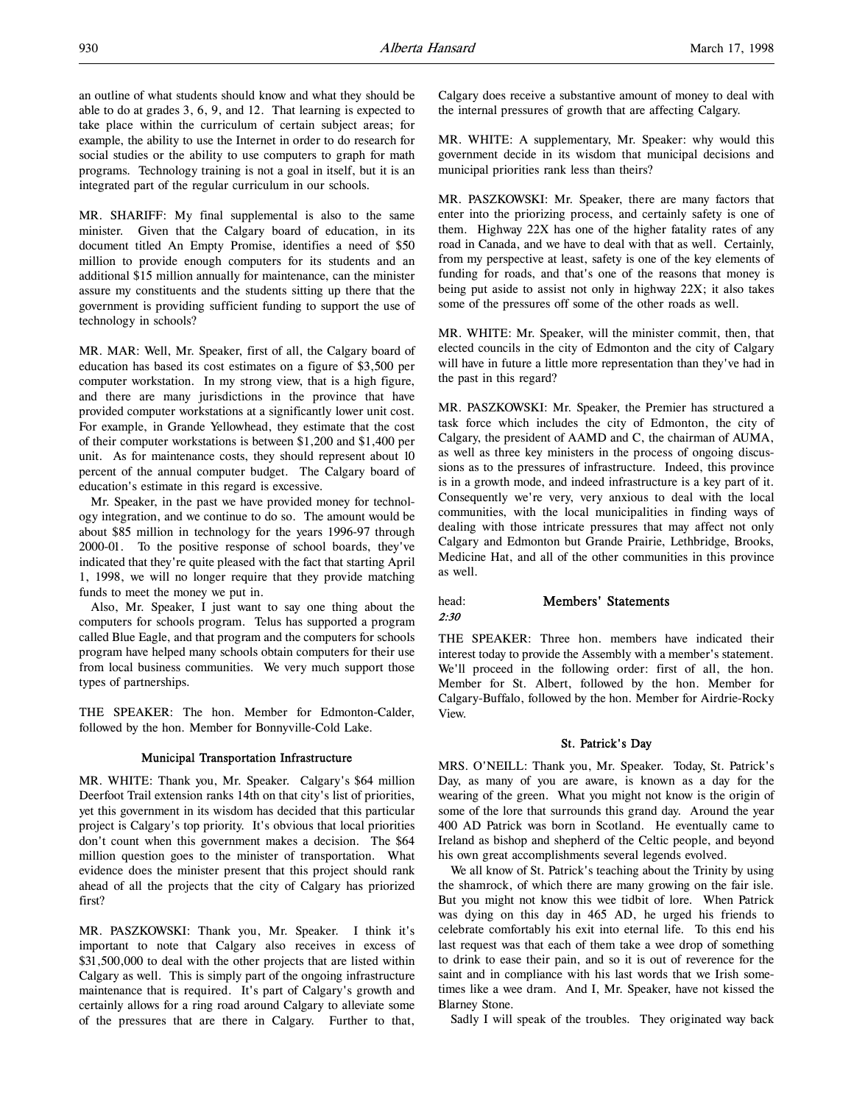an outline of what students should know and what they should be able to do at grades 3, 6, 9, and 12. That learning is expected to take place within the curriculum of certain subject areas; for example, the ability to use the Internet in order to do research for social studies or the ability to use computers to graph for math programs. Technology training is not a goal in itself, but it is an integrated part of the regular curriculum in our schools.

MR. SHARIFF: My final supplemental is also to the same minister. Given that the Calgary board of education, in its document titled An Empty Promise, identifies a need of \$50 million to provide enough computers for its students and an additional \$15 million annually for maintenance, can the minister assure my constituents and the students sitting up there that the government is providing sufficient funding to support the use of technology in schools?

MR. MAR: Well, Mr. Speaker, first of all, the Calgary board of education has based its cost estimates on a figure of \$3,500 per computer workstation. In my strong view, that is a high figure, and there are many jurisdictions in the province that have provided computer workstations at a significantly lower unit cost. For example, in Grande Yellowhead, they estimate that the cost of their computer workstations is between \$1,200 and \$1,400 per unit. As for maintenance costs, they should represent about 10 percent of the annual computer budget. The Calgary board of education's estimate in this regard is excessive.

Mr. Speaker, in the past we have provided money for technology integration, and we continue to do so. The amount would be about \$85 million in technology for the years 1996-97 through 2000-01. To the positive response of school boards, they've indicated that they're quite pleased with the fact that starting April 1, 1998, we will no longer require that they provide matching funds to meet the money we put in.

Also, Mr. Speaker, I just want to say one thing about the computers for schools program. Telus has supported a program called Blue Eagle, and that program and the computers for schools program have helped many schools obtain computers for their use from local business communities. We very much support those types of partnerships.

THE SPEAKER: The hon. Member for Edmonton-Calder, followed by the hon. Member for Bonnyville-Cold Lake.

### Municipal Transportation Infrastructure

MR. WHITE: Thank you, Mr. Speaker. Calgary's \$64 million Deerfoot Trail extension ranks 14th on that city's list of priorities, yet this government in its wisdom has decided that this particular project is Calgary's top priority. It's obvious that local priorities don't count when this government makes a decision. The \$64 million question goes to the minister of transportation. What evidence does the minister present that this project should rank ahead of all the projects that the city of Calgary has priorized first?

MR. PASZKOWSKI: Thank you, Mr. Speaker. I think it's important to note that Calgary also receives in excess of \$31,500,000 to deal with the other projects that are listed within Calgary as well. This is simply part of the ongoing infrastructure maintenance that is required. It's part of Calgary's growth and certainly allows for a ring road around Calgary to alleviate some of the pressures that are there in Calgary. Further to that,

Calgary does receive a substantive amount of money to deal with the internal pressures of growth that are affecting Calgary.

MR. WHITE: A supplementary, Mr. Speaker: why would this government decide in its wisdom that municipal decisions and municipal priorities rank less than theirs?

MR. PASZKOWSKI: Mr. Speaker, there are many factors that enter into the priorizing process, and certainly safety is one of them. Highway 22X has one of the higher fatality rates of any road in Canada, and we have to deal with that as well. Certainly, from my perspective at least, safety is one of the key elements of funding for roads, and that's one of the reasons that money is being put aside to assist not only in highway 22X; it also takes some of the pressures off some of the other roads as well.

MR. WHITE: Mr. Speaker, will the minister commit, then, that elected councils in the city of Edmonton and the city of Calgary will have in future a little more representation than they've had in the past in this regard?

MR. PASZKOWSKI: Mr. Speaker, the Premier has structured a task force which includes the city of Edmonton, the city of Calgary, the president of AAMD and C, the chairman of AUMA, as well as three key ministers in the process of ongoing discussions as to the pressures of infrastructure. Indeed, this province is in a growth mode, and indeed infrastructure is a key part of it. Consequently we're very, very anxious to deal with the local communities, with the local municipalities in finding ways of dealing with those intricate pressures that may affect not only Calgary and Edmonton but Grande Prairie, Lethbridge, Brooks, Medicine Hat, and all of the other communities in this province as well.

### head: **Members' Statements** 2:30

THE SPEAKER: Three hon. members have indicated their interest today to provide the Assembly with a member's statement. We'll proceed in the following order: first of all, the hon. Member for St. Albert, followed by the hon. Member for Calgary-Buffalo, followed by the hon. Member for Airdrie-Rocky View.

### St. Patrick's Day

MRS. O'NEILL: Thank you, Mr. Speaker. Today, St. Patrick's Day, as many of you are aware, is known as a day for the wearing of the green. What you might not know is the origin of some of the lore that surrounds this grand day. Around the year 400 AD Patrick was born in Scotland. He eventually came to Ireland as bishop and shepherd of the Celtic people, and beyond his own great accomplishments several legends evolved.

We all know of St. Patrick's teaching about the Trinity by using the shamrock, of which there are many growing on the fair isle. But you might not know this wee tidbit of lore. When Patrick was dying on this day in 465 AD, he urged his friends to celebrate comfortably his exit into eternal life. To this end his last request was that each of them take a wee drop of something to drink to ease their pain, and so it is out of reverence for the saint and in compliance with his last words that we Irish sometimes like a wee dram. And I, Mr. Speaker, have not kissed the Blarney Stone.

Sadly I will speak of the troubles. They originated way back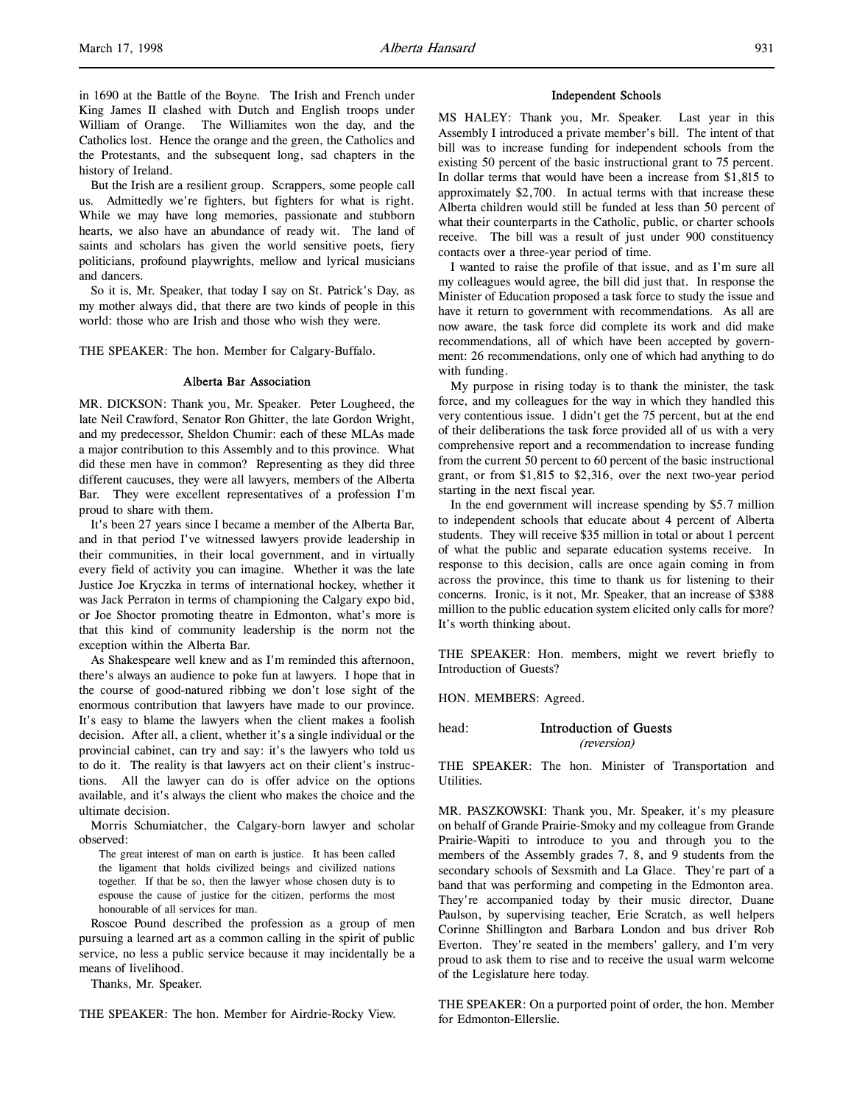in 1690 at the Battle of the Boyne. The Irish and French under King James II clashed with Dutch and English troops under William of Orange. The Williamites won the day, and the Catholics lost. Hence the orange and the green, the Catholics and the Protestants, and the subsequent long, sad chapters in the history of Ireland.

But the Irish are a resilient group. Scrappers, some people call us. Admittedly we're fighters, but fighters for what is right. While we may have long memories, passionate and stubborn hearts, we also have an abundance of ready wit. The land of saints and scholars has given the world sensitive poets, fiery politicians, profound playwrights, mellow and lyrical musicians and dancers.

So it is, Mr. Speaker, that today I say on St. Patrick's Day, as my mother always did, that there are two kinds of people in this world: those who are Irish and those who wish they were.

THE SPEAKER: The hon. Member for Calgary-Buffalo.

#### Alberta Bar Association

MR. DICKSON: Thank you, Mr. Speaker. Peter Lougheed, the late Neil Crawford, Senator Ron Ghitter, the late Gordon Wright, and my predecessor, Sheldon Chumir: each of these MLAs made a major contribution to this Assembly and to this province. What did these men have in common? Representing as they did three different caucuses, they were all lawyers, members of the Alberta Bar. They were excellent representatives of a profession I'm proud to share with them.

It's been 27 years since I became a member of the Alberta Bar, and in that period I've witnessed lawyers provide leadership in their communities, in their local government, and in virtually every field of activity you can imagine. Whether it was the late Justice Joe Kryczka in terms of international hockey, whether it was Jack Perraton in terms of championing the Calgary expo bid, or Joe Shoctor promoting theatre in Edmonton, what's more is that this kind of community leadership is the norm not the exception within the Alberta Bar.

As Shakespeare well knew and as I'm reminded this afternoon, there's always an audience to poke fun at lawyers. I hope that in the course of good-natured ribbing we don't lose sight of the enormous contribution that lawyers have made to our province. It's easy to blame the lawyers when the client makes a foolish decision. After all, a client, whether it's a single individual or the provincial cabinet, can try and say: it's the lawyers who told us to do it. The reality is that lawyers act on their client's instructions. All the lawyer can do is offer advice on the options available, and it's always the client who makes the choice and the ultimate decision.

Morris Schumiatcher, the Calgary-born lawyer and scholar observed:

The great interest of man on earth is justice. It has been called the ligament that holds civilized beings and civilized nations together. If that be so, then the lawyer whose chosen duty is to espouse the cause of justice for the citizen, performs the most honourable of all services for man.

Roscoe Pound described the profession as a group of men pursuing a learned art as a common calling in the spirit of public service, no less a public service because it may incidentally be a means of livelihood.

Thanks, Mr. Speaker.

THE SPEAKER: The hon. Member for Airdrie-Rocky View.

#### Independent Schools

MS HALEY: Thank you, Mr. Speaker. Last year in this Assembly I introduced a private member's bill. The intent of that bill was to increase funding for independent schools from the existing 50 percent of the basic instructional grant to 75 percent. In dollar terms that would have been a increase from \$1,815 to approximately \$2,700. In actual terms with that increase these Alberta children would still be funded at less than 50 percent of what their counterparts in the Catholic, public, or charter schools receive. The bill was a result of just under 900 constituency contacts over a three-year period of time.

I wanted to raise the profile of that issue, and as I'm sure all my colleagues would agree, the bill did just that. In response the Minister of Education proposed a task force to study the issue and have it return to government with recommendations. As all are now aware, the task force did complete its work and did make recommendations, all of which have been accepted by government: 26 recommendations, only one of which had anything to do with funding.

My purpose in rising today is to thank the minister, the task force, and my colleagues for the way in which they handled this very contentious issue. I didn't get the 75 percent, but at the end of their deliberations the task force provided all of us with a very comprehensive report and a recommendation to increase funding from the current 50 percent to 60 percent of the basic instructional grant, or from \$1,815 to \$2,316, over the next two-year period starting in the next fiscal year.

In the end government will increase spending by \$5.7 million to independent schools that educate about 4 percent of Alberta students. They will receive \$35 million in total or about 1 percent of what the public and separate education systems receive. In response to this decision, calls are once again coming in from across the province, this time to thank us for listening to their concerns. Ironic, is it not, Mr. Speaker, that an increase of \$388 million to the public education system elicited only calls for more? It's worth thinking about.

THE SPEAKER: Hon. members, might we revert briefly to Introduction of Guests?

HON. MEMBERS: Agreed.

### head: Introduction of Guests (reversion)

THE SPEAKER: The hon. Minister of Transportation and Utilities.

MR. PASZKOWSKI: Thank you, Mr. Speaker, it's my pleasure on behalf of Grande Prairie-Smoky and my colleague from Grande Prairie-Wapiti to introduce to you and through you to the members of the Assembly grades 7, 8, and 9 students from the secondary schools of Sexsmith and La Glace. They're part of a band that was performing and competing in the Edmonton area. They're accompanied today by their music director, Duane Paulson, by supervising teacher, Erie Scratch, as well helpers Corinne Shillington and Barbara London and bus driver Rob Everton. They're seated in the members' gallery, and I'm very proud to ask them to rise and to receive the usual warm welcome of the Legislature here today.

THE SPEAKER: On a purported point of order, the hon. Member for Edmonton-Ellerslie.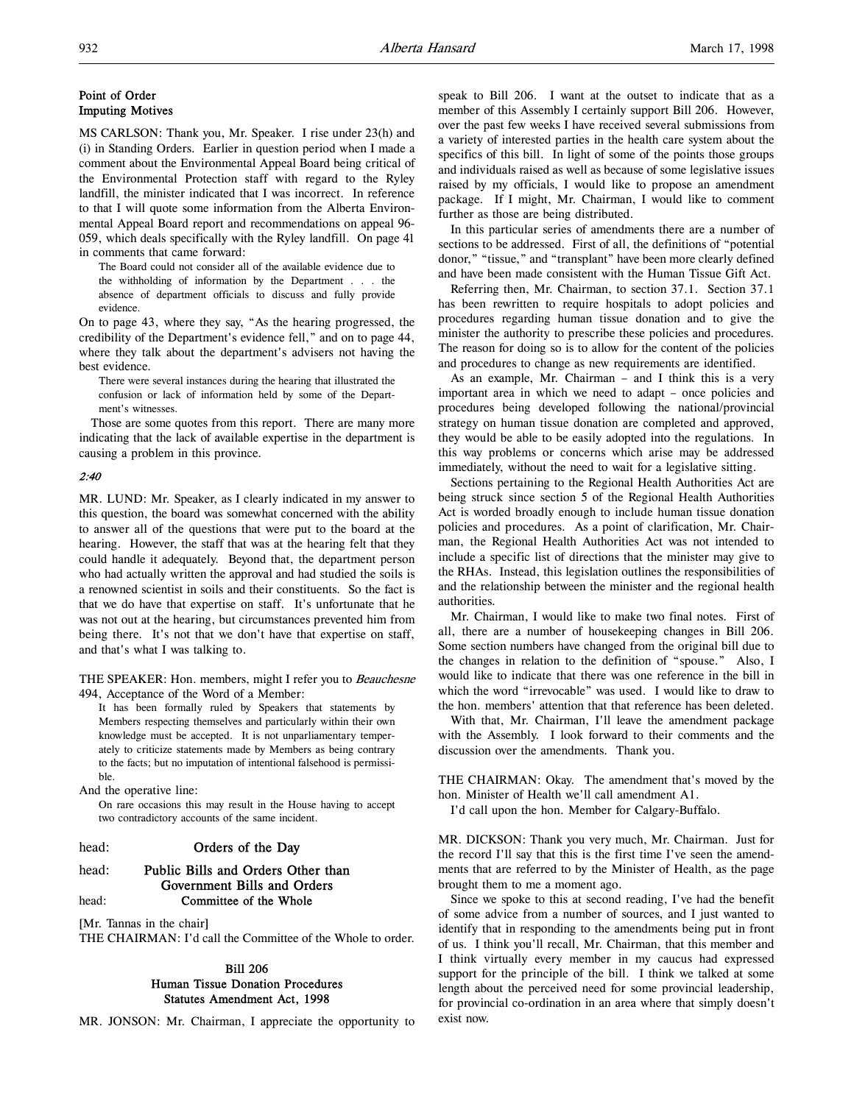## Point of Order Imputing Motives

MS CARLSON: Thank you, Mr. Speaker. I rise under 23(h) and (i) in Standing Orders. Earlier in question period when I made a comment about the Environmental Appeal Board being critical of the Environmental Protection staff with regard to the Ryley landfill, the minister indicated that I was incorrect. In reference to that I will quote some information from the Alberta Environmental Appeal Board report and recommendations on appeal 96- 059, which deals specifically with the Ryley landfill. On page 41 in comments that came forward:

The Board could not consider all of the available evidence due to the withholding of information by the Department . . . the absence of department officials to discuss and fully provide evidence.

On to page 43, where they say, "As the hearing progressed, the credibility of the Department's evidence fell," and on to page 44, where they talk about the department's advisers not having the best evidence.

There were several instances during the hearing that illustrated the confusion or lack of information held by some of the Department's witnesses.

Those are some quotes from this report. There are many more indicating that the lack of available expertise in the department is causing a problem in this province.

## 2:40

MR. LUND: Mr. Speaker, as I clearly indicated in my answer to this question, the board was somewhat concerned with the ability to answer all of the questions that were put to the board at the hearing. However, the staff that was at the hearing felt that they could handle it adequately. Beyond that, the department person who had actually written the approval and had studied the soils is a renowned scientist in soils and their constituents. So the fact is that we do have that expertise on staff. It's unfortunate that he was not out at the hearing, but circumstances prevented him from being there. It's not that we don't have that expertise on staff, and that's what I was talking to.

THE SPEAKER: Hon. members, might I refer you to Beauchesne 494, Acceptance of the Word of a Member:

It has been formally ruled by Speakers that statements by Members respecting themselves and particularly within their own knowledge must be accepted. It is not unparliamentary temperately to criticize statements made by Members as being contrary to the facts; but no imputation of intentional falsehood is permissible.

And the operative line:

On rare occasions this may result in the House having to accept two contradictory accounts of the same incident.

head: **Orders of the Day** 

### head: Public Bills and Orders Other than Government Bills and Orders head: **Committee of the Whole**

[Mr. Tannas in the chair]

THE CHAIRMAN: I'd call the Committee of the Whole to order.

## Bill 206 Human Tissue Donation Procedures Statutes Amendment Act, 1998

MR. JONSON: Mr. Chairman, I appreciate the opportunity to

speak to Bill 206. I want at the outset to indicate that as a member of this Assembly I certainly support Bill 206. However, over the past few weeks I have received several submissions from a variety of interested parties in the health care system about the specifics of this bill. In light of some of the points those groups and individuals raised as well as because of some legislative issues raised by my officials, I would like to propose an amendment package. If I might, Mr. Chairman, I would like to comment further as those are being distributed.

In this particular series of amendments there are a number of sections to be addressed. First of all, the definitions of "potential donor," "tissue," and "transplant" have been more clearly defined and have been made consistent with the Human Tissue Gift Act.

Referring then, Mr. Chairman, to section 37.1. Section 37.1 has been rewritten to require hospitals to adopt policies and procedures regarding human tissue donation and to give the minister the authority to prescribe these policies and procedures. The reason for doing so is to allow for the content of the policies and procedures to change as new requirements are identified.

As an example, Mr. Chairman – and I think this is a very important area in which we need to adapt – once policies and procedures being developed following the national/provincial strategy on human tissue donation are completed and approved, they would be able to be easily adopted into the regulations. In this way problems or concerns which arise may be addressed immediately, without the need to wait for a legislative sitting.

Sections pertaining to the Regional Health Authorities Act are being struck since section 5 of the Regional Health Authorities Act is worded broadly enough to include human tissue donation policies and procedures. As a point of clarification, Mr. Chairman, the Regional Health Authorities Act was not intended to include a specific list of directions that the minister may give to the RHAs. Instead, this legislation outlines the responsibilities of and the relationship between the minister and the regional health authorities.

Mr. Chairman, I would like to make two final notes. First of all, there are a number of housekeeping changes in Bill 206. Some section numbers have changed from the original bill due to the changes in relation to the definition of "spouse." Also, I would like to indicate that there was one reference in the bill in which the word "irrevocable" was used. I would like to draw to the hon. members' attention that that reference has been deleted.

With that, Mr. Chairman, I'll leave the amendment package with the Assembly. I look forward to their comments and the discussion over the amendments. Thank you.

THE CHAIRMAN: Okay. The amendment that's moved by the hon. Minister of Health we'll call amendment A1.

I'd call upon the hon. Member for Calgary-Buffalo.

MR. DICKSON: Thank you very much, Mr. Chairman. Just for the record I'll say that this is the first time I've seen the amendments that are referred to by the Minister of Health, as the page brought them to me a moment ago.

Since we spoke to this at second reading, I've had the benefit of some advice from a number of sources, and I just wanted to identify that in responding to the amendments being put in front of us. I think you'll recall, Mr. Chairman, that this member and I think virtually every member in my caucus had expressed support for the principle of the bill. I think we talked at some length about the perceived need for some provincial leadership, for provincial co-ordination in an area where that simply doesn't exist now.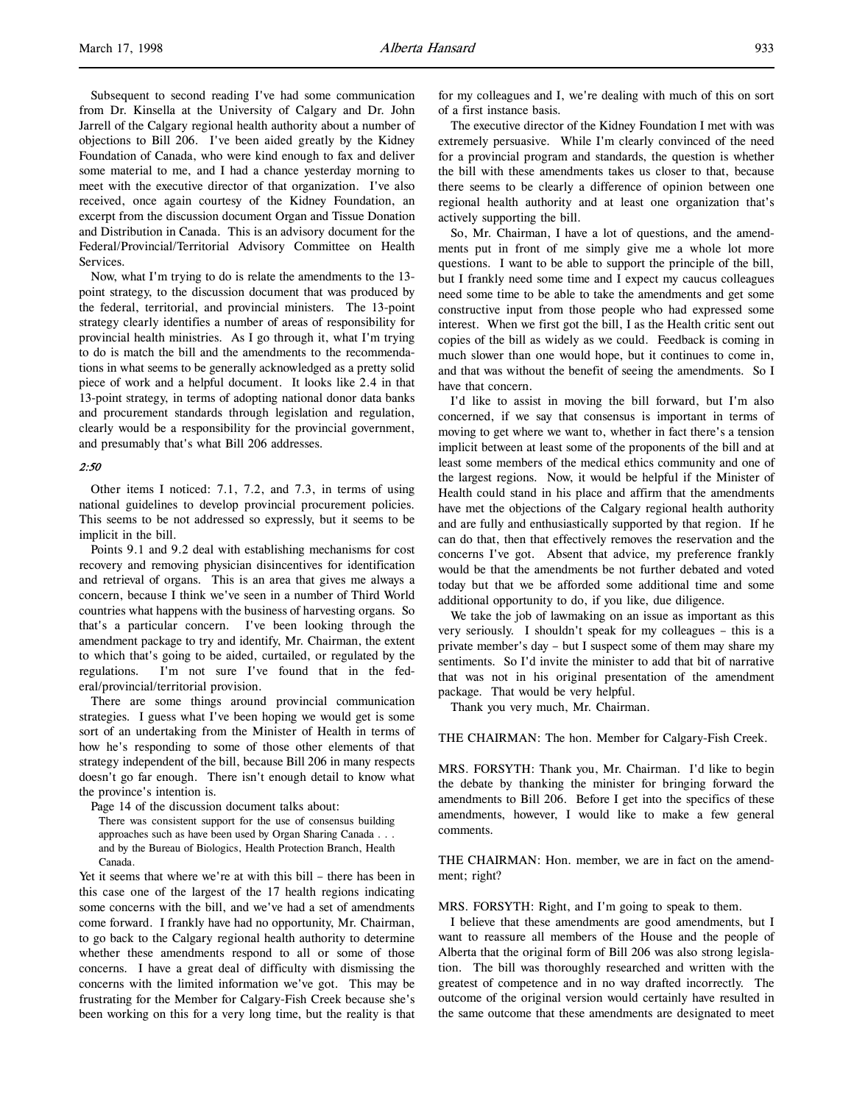Subsequent to second reading I've had some communication from Dr. Kinsella at the University of Calgary and Dr. John Jarrell of the Calgary regional health authority about a number of objections to Bill 206. I've been aided greatly by the Kidney Foundation of Canada, who were kind enough to fax and deliver some material to me, and I had a chance yesterday morning to meet with the executive director of that organization. I've also received, once again courtesy of the Kidney Foundation, an excerpt from the discussion document Organ and Tissue Donation

and Distribution in Canada. This is an advisory document for the Federal/Provincial/Territorial Advisory Committee on Health **Services** Now, what I'm trying to do is relate the amendments to the 13-

point strategy, to the discussion document that was produced by the federal, territorial, and provincial ministers. The 13-point strategy clearly identifies a number of areas of responsibility for provincial health ministries. As I go through it, what I'm trying to do is match the bill and the amendments to the recommendations in what seems to be generally acknowledged as a pretty solid piece of work and a helpful document. It looks like 2.4 in that 13-point strategy, in terms of adopting national donor data banks and procurement standards through legislation and regulation, clearly would be a responsibility for the provincial government, and presumably that's what Bill 206 addresses.

### 2:50

Other items I noticed: 7.1, 7.2, and 7.3, in terms of using national guidelines to develop provincial procurement policies. This seems to be not addressed so expressly, but it seems to be implicit in the bill.

Points 9.1 and 9.2 deal with establishing mechanisms for cost recovery and removing physician disincentives for identification and retrieval of organs. This is an area that gives me always a concern, because I think we've seen in a number of Third World countries what happens with the business of harvesting organs. So that's a particular concern. I've been looking through the amendment package to try and identify, Mr. Chairman, the extent to which that's going to be aided, curtailed, or regulated by the regulations. I'm not sure I've found that in the federal/provincial/territorial provision.

There are some things around provincial communication strategies. I guess what I've been hoping we would get is some sort of an undertaking from the Minister of Health in terms of how he's responding to some of those other elements of that strategy independent of the bill, because Bill 206 in many respects doesn't go far enough. There isn't enough detail to know what the province's intention is.

Page 14 of the discussion document talks about:

There was consistent support for the use of consensus building approaches such as have been used by Organ Sharing Canada . . . and by the Bureau of Biologics, Health Protection Branch, Health Canada.

Yet it seems that where we're at with this bill – there has been in this case one of the largest of the 17 health regions indicating some concerns with the bill, and we've had a set of amendments come forward. I frankly have had no opportunity, Mr. Chairman, to go back to the Calgary regional health authority to determine whether these amendments respond to all or some of those concerns. I have a great deal of difficulty with dismissing the concerns with the limited information we've got. This may be frustrating for the Member for Calgary-Fish Creek because she's been working on this for a very long time, but the reality is that

for my colleagues and I, we're dealing with much of this on sort of a first instance basis.

The executive director of the Kidney Foundation I met with was extremely persuasive. While I'm clearly convinced of the need for a provincial program and standards, the question is whether the bill with these amendments takes us closer to that, because there seems to be clearly a difference of opinion between one regional health authority and at least one organization that's actively supporting the bill.

So, Mr. Chairman, I have a lot of questions, and the amendments put in front of me simply give me a whole lot more questions. I want to be able to support the principle of the bill, but I frankly need some time and I expect my caucus colleagues need some time to be able to take the amendments and get some constructive input from those people who had expressed some interest. When we first got the bill, I as the Health critic sent out copies of the bill as widely as we could. Feedback is coming in much slower than one would hope, but it continues to come in, and that was without the benefit of seeing the amendments. So I have that concern.

I'd like to assist in moving the bill forward, but I'm also concerned, if we say that consensus is important in terms of moving to get where we want to, whether in fact there's a tension implicit between at least some of the proponents of the bill and at least some members of the medical ethics community and one of the largest regions. Now, it would be helpful if the Minister of Health could stand in his place and affirm that the amendments have met the objections of the Calgary regional health authority and are fully and enthusiastically supported by that region. If he can do that, then that effectively removes the reservation and the concerns I've got. Absent that advice, my preference frankly would be that the amendments be not further debated and voted today but that we be afforded some additional time and some additional opportunity to do, if you like, due diligence.

We take the job of lawmaking on an issue as important as this very seriously. I shouldn't speak for my colleagues – this is a private member's day – but I suspect some of them may share my sentiments. So I'd invite the minister to add that bit of narrative that was not in his original presentation of the amendment package. That would be very helpful.

Thank you very much, Mr. Chairman.

THE CHAIRMAN: The hon. Member for Calgary-Fish Creek.

MRS. FORSYTH: Thank you, Mr. Chairman. I'd like to begin the debate by thanking the minister for bringing forward the amendments to Bill 206. Before I get into the specifics of these amendments, however, I would like to make a few general comments.

THE CHAIRMAN: Hon. member, we are in fact on the amendment; right?

MRS. FORSYTH: Right, and I'm going to speak to them.

I believe that these amendments are good amendments, but I want to reassure all members of the House and the people of Alberta that the original form of Bill 206 was also strong legislation. The bill was thoroughly researched and written with the greatest of competence and in no way drafted incorrectly. The outcome of the original version would certainly have resulted in the same outcome that these amendments are designated to meet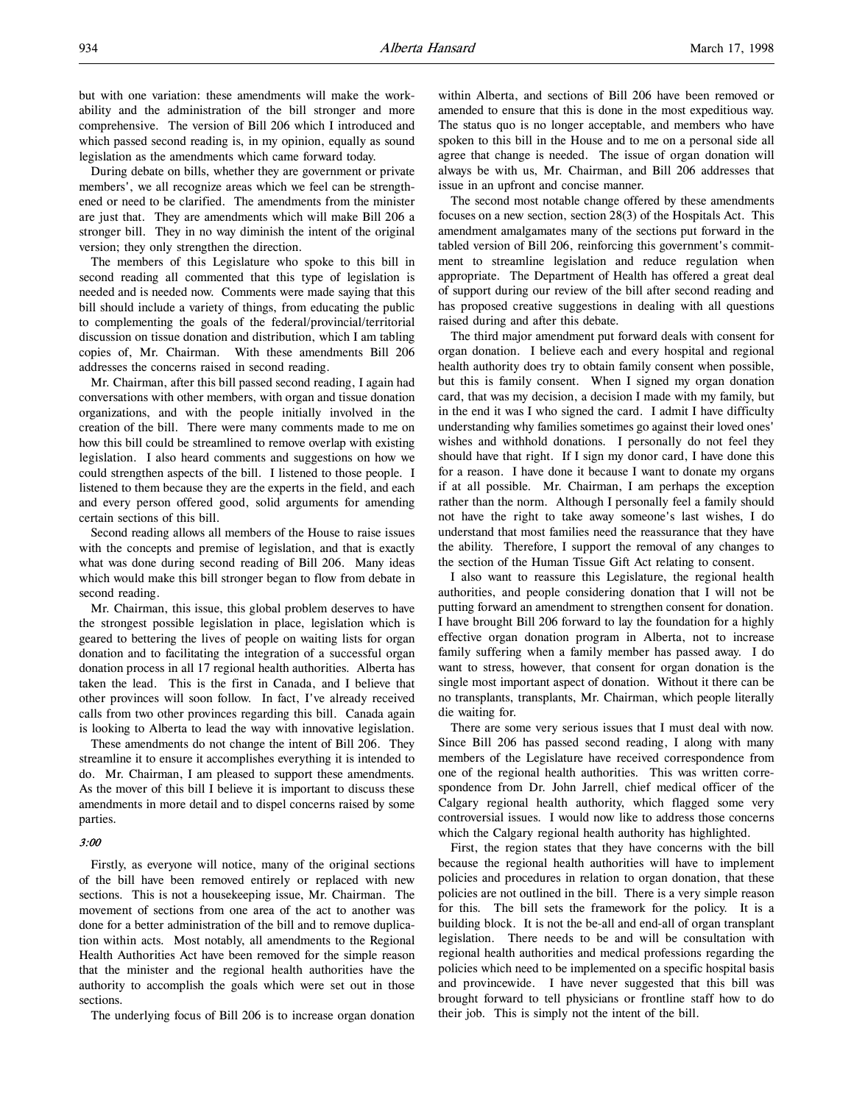During debate on bills, whether they are government or private members', we all recognize areas which we feel can be strengthened or need to be clarified. The amendments from the minister are just that. They are amendments which will make Bill 206 a stronger bill. They in no way diminish the intent of the original version; they only strengthen the direction.

The members of this Legislature who spoke to this bill in second reading all commented that this type of legislation is needed and is needed now. Comments were made saying that this bill should include a variety of things, from educating the public to complementing the goals of the federal/provincial/territorial discussion on tissue donation and distribution, which I am tabling copies of, Mr. Chairman. With these amendments Bill 206 addresses the concerns raised in second reading.

Mr. Chairman, after this bill passed second reading, I again had conversations with other members, with organ and tissue donation organizations, and with the people initially involved in the creation of the bill. There were many comments made to me on how this bill could be streamlined to remove overlap with existing legislation. I also heard comments and suggestions on how we could strengthen aspects of the bill. I listened to those people. I listened to them because they are the experts in the field, and each and every person offered good, solid arguments for amending certain sections of this bill.

Second reading allows all members of the House to raise issues with the concepts and premise of legislation, and that is exactly what was done during second reading of Bill 206. Many ideas which would make this bill stronger began to flow from debate in second reading.

Mr. Chairman, this issue, this global problem deserves to have the strongest possible legislation in place, legislation which is geared to bettering the lives of people on waiting lists for organ donation and to facilitating the integration of a successful organ donation process in all 17 regional health authorities. Alberta has taken the lead. This is the first in Canada, and I believe that other provinces will soon follow. In fact, I've already received calls from two other provinces regarding this bill. Canada again is looking to Alberta to lead the way with innovative legislation.

These amendments do not change the intent of Bill 206. They streamline it to ensure it accomplishes everything it is intended to do. Mr. Chairman, I am pleased to support these amendments. As the mover of this bill I believe it is important to discuss these amendments in more detail and to dispel concerns raised by some parties.

### 3:00

Firstly, as everyone will notice, many of the original sections of the bill have been removed entirely or replaced with new sections. This is not a housekeeping issue, Mr. Chairman. The movement of sections from one area of the act to another was done for a better administration of the bill and to remove duplication within acts. Most notably, all amendments to the Regional Health Authorities Act have been removed for the simple reason that the minister and the regional health authorities have the authority to accomplish the goals which were set out in those sections.

The underlying focus of Bill 206 is to increase organ donation

within Alberta, and sections of Bill 206 have been removed or amended to ensure that this is done in the most expeditious way. The status quo is no longer acceptable, and members who have spoken to this bill in the House and to me on a personal side all agree that change is needed. The issue of organ donation will always be with us, Mr. Chairman, and Bill 206 addresses that issue in an upfront and concise manner.

The second most notable change offered by these amendments focuses on a new section, section 28(3) of the Hospitals Act. This amendment amalgamates many of the sections put forward in the tabled version of Bill 206, reinforcing this government's commitment to streamline legislation and reduce regulation when appropriate. The Department of Health has offered a great deal of support during our review of the bill after second reading and has proposed creative suggestions in dealing with all questions raised during and after this debate.

The third major amendment put forward deals with consent for organ donation. I believe each and every hospital and regional health authority does try to obtain family consent when possible, but this is family consent. When I signed my organ donation card, that was my decision, a decision I made with my family, but in the end it was I who signed the card. I admit I have difficulty understanding why families sometimes go against their loved ones' wishes and withhold donations. I personally do not feel they should have that right. If I sign my donor card, I have done this for a reason. I have done it because I want to donate my organs if at all possible. Mr. Chairman, I am perhaps the exception rather than the norm. Although I personally feel a family should not have the right to take away someone's last wishes, I do understand that most families need the reassurance that they have the ability. Therefore, I support the removal of any changes to the section of the Human Tissue Gift Act relating to consent.

I also want to reassure this Legislature, the regional health authorities, and people considering donation that I will not be putting forward an amendment to strengthen consent for donation. I have brought Bill 206 forward to lay the foundation for a highly effective organ donation program in Alberta, not to increase family suffering when a family member has passed away. I do want to stress, however, that consent for organ donation is the single most important aspect of donation. Without it there can be no transplants, transplants, Mr. Chairman, which people literally die waiting for.

There are some very serious issues that I must deal with now. Since Bill 206 has passed second reading, I along with many members of the Legislature have received correspondence from one of the regional health authorities. This was written correspondence from Dr. John Jarrell, chief medical officer of the Calgary regional health authority, which flagged some very controversial issues. I would now like to address those concerns which the Calgary regional health authority has highlighted.

First, the region states that they have concerns with the bill because the regional health authorities will have to implement policies and procedures in relation to organ donation, that these policies are not outlined in the bill. There is a very simple reason for this. The bill sets the framework for the policy. It is a building block. It is not the be-all and end-all of organ transplant legislation. There needs to be and will be consultation with regional health authorities and medical professions regarding the policies which need to be implemented on a specific hospital basis and provincewide. I have never suggested that this bill was brought forward to tell physicians or frontline staff how to do their job. This is simply not the intent of the bill.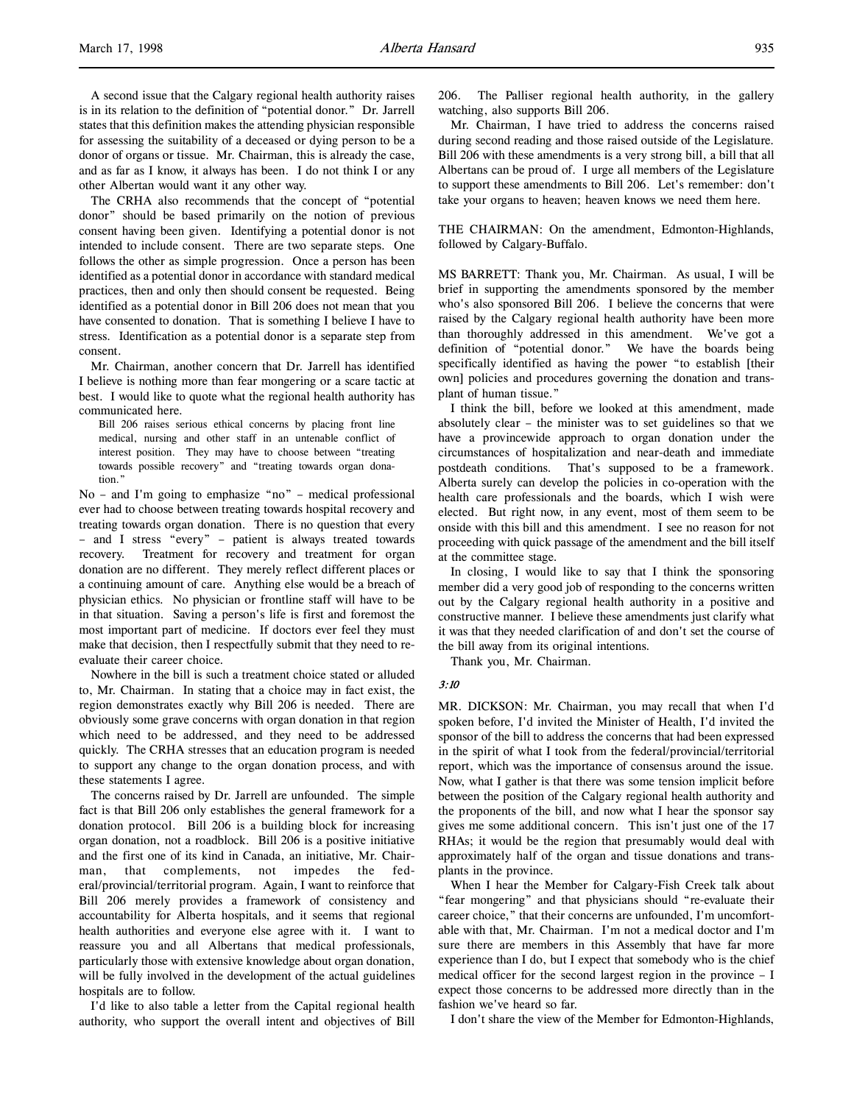A second issue that the Calgary regional health authority raises is in its relation to the definition of "potential donor." Dr. Jarrell states that this definition makes the attending physician responsible for assessing the suitability of a deceased or dying person to be a donor of organs or tissue. Mr. Chairman, this is already the case, and as far as I know, it always has been. I do not think I or any other Albertan would want it any other way.

The CRHA also recommends that the concept of "potential donor" should be based primarily on the notion of previous consent having been given. Identifying a potential donor is not intended to include consent. There are two separate steps. One follows the other as simple progression. Once a person has been identified as a potential donor in accordance with standard medical practices, then and only then should consent be requested. Being identified as a potential donor in Bill 206 does not mean that you have consented to donation. That is something I believe I have to stress. Identification as a potential donor is a separate step from consent.

Mr. Chairman, another concern that Dr. Jarrell has identified I believe is nothing more than fear mongering or a scare tactic at best. I would like to quote what the regional health authority has communicated here.

Bill 206 raises serious ethical concerns by placing front line medical, nursing and other staff in an untenable conflict of interest position. They may have to choose between "treating towards possible recovery" and "treating towards organ donation."

No – and I'm going to emphasize "no" – medical professional ever had to choose between treating towards hospital recovery and treating towards organ donation. There is no question that every – and I stress "every" – patient is always treated towards recovery. Treatment for recovery and treatment for organ donation are no different. They merely reflect different places or a continuing amount of care. Anything else would be a breach of physician ethics. No physician or frontline staff will have to be in that situation. Saving a person's life is first and foremost the most important part of medicine. If doctors ever feel they must make that decision, then I respectfully submit that they need to reevaluate their career choice.

Nowhere in the bill is such a treatment choice stated or alluded to, Mr. Chairman. In stating that a choice may in fact exist, the region demonstrates exactly why Bill 206 is needed. There are obviously some grave concerns with organ donation in that region which need to be addressed, and they need to be addressed quickly. The CRHA stresses that an education program is needed to support any change to the organ donation process, and with these statements I agree.

The concerns raised by Dr. Jarrell are unfounded. The simple fact is that Bill 206 only establishes the general framework for a donation protocol. Bill 206 is a building block for increasing organ donation, not a roadblock. Bill 206 is a positive initiative and the first one of its kind in Canada, an initiative, Mr. Chairman, that complements, not impedes the federal/provincial/territorial program. Again, I want to reinforce that Bill 206 merely provides a framework of consistency and accountability for Alberta hospitals, and it seems that regional health authorities and everyone else agree with it. I want to reassure you and all Albertans that medical professionals, particularly those with extensive knowledge about organ donation, will be fully involved in the development of the actual guidelines hospitals are to follow.

I'd like to also table a letter from the Capital regional health authority, who support the overall intent and objectives of Bill 206. The Palliser regional health authority, in the gallery watching, also supports Bill 206.

Mr. Chairman, I have tried to address the concerns raised during second reading and those raised outside of the Legislature. Bill 206 with these amendments is a very strong bill, a bill that all Albertans can be proud of. I urge all members of the Legislature to support these amendments to Bill 206. Let's remember: don't take your organs to heaven; heaven knows we need them here.

THE CHAIRMAN: On the amendment, Edmonton-Highlands, followed by Calgary-Buffalo.

MS BARRETT: Thank you, Mr. Chairman. As usual, I will be brief in supporting the amendments sponsored by the member who's also sponsored Bill 206. I believe the concerns that were raised by the Calgary regional health authority have been more than thoroughly addressed in this amendment. We've got a definition of "potential donor." We have the boards being specifically identified as having the power "to establish [their own] policies and procedures governing the donation and transplant of human tissue."

I think the bill, before we looked at this amendment, made absolutely clear – the minister was to set guidelines so that we have a provincewide approach to organ donation under the circumstances of hospitalization and near-death and immediate postdeath conditions. That's supposed to be a framework. Alberta surely can develop the policies in co-operation with the health care professionals and the boards, which I wish were elected. But right now, in any event, most of them seem to be onside with this bill and this amendment. I see no reason for not proceeding with quick passage of the amendment and the bill itself at the committee stage.

In closing, I would like to say that I think the sponsoring member did a very good job of responding to the concerns written out by the Calgary regional health authority in a positive and constructive manner. I believe these amendments just clarify what it was that they needed clarification of and don't set the course of the bill away from its original intentions.

Thank you, Mr. Chairman.

3:10

MR. DICKSON: Mr. Chairman, you may recall that when I'd spoken before, I'd invited the Minister of Health, I'd invited the sponsor of the bill to address the concerns that had been expressed in the spirit of what I took from the federal/provincial/territorial report, which was the importance of consensus around the issue. Now, what I gather is that there was some tension implicit before between the position of the Calgary regional health authority and the proponents of the bill, and now what I hear the sponsor say gives me some additional concern. This isn't just one of the 17 RHAs; it would be the region that presumably would deal with approximately half of the organ and tissue donations and transplants in the province.

When I hear the Member for Calgary-Fish Creek talk about "fear mongering" and that physicians should "re-evaluate their career choice," that their concerns are unfounded, I'm uncomfortable with that, Mr. Chairman. I'm not a medical doctor and I'm sure there are members in this Assembly that have far more experience than I do, but I expect that somebody who is the chief medical officer for the second largest region in the province – I expect those concerns to be addressed more directly than in the fashion we've heard so far.

I don't share the view of the Member for Edmonton-Highlands,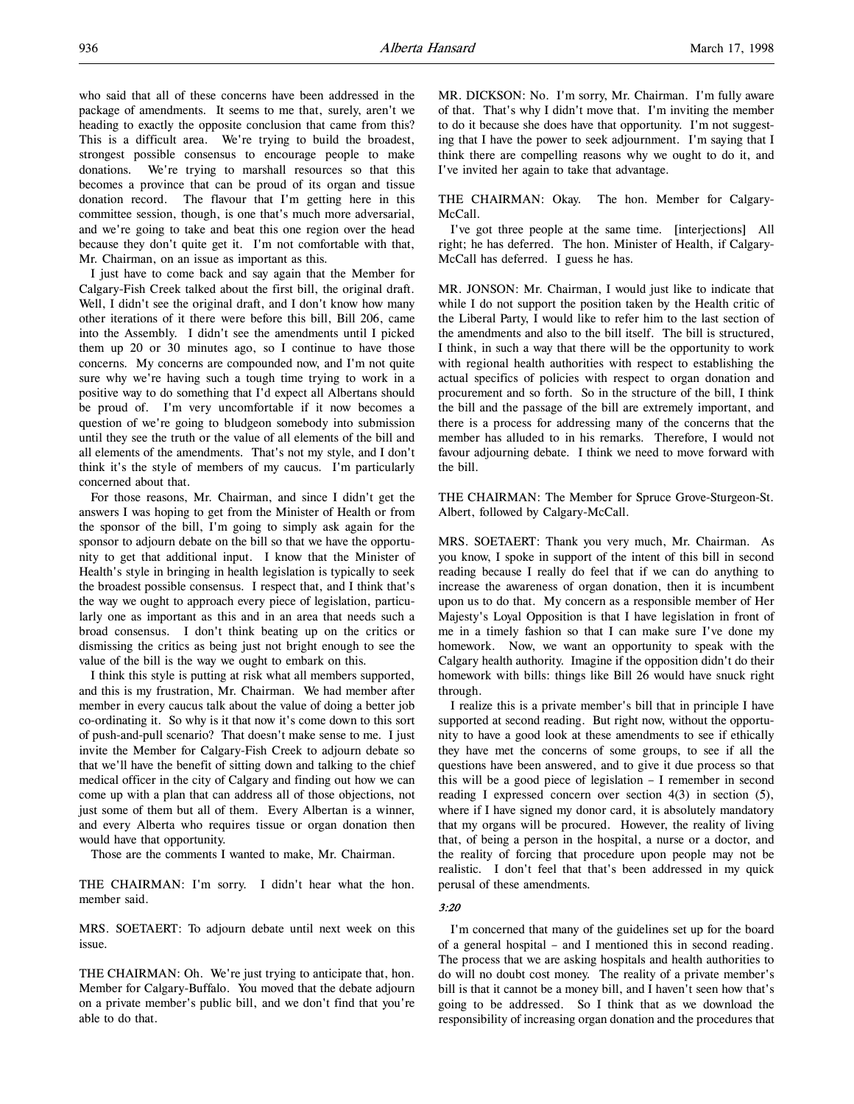who said that all of these concerns have been addressed in the package of amendments. It seems to me that, surely, aren't we heading to exactly the opposite conclusion that came from this? This is a difficult area. We're trying to build the broadest, strongest possible consensus to encourage people to make donations. We're trying to marshall resources so that this becomes a province that can be proud of its organ and tissue donation record. The flavour that I'm getting here in this committee session, though, is one that's much more adversarial, and we're going to take and beat this one region over the head because they don't quite get it. I'm not comfortable with that, Mr. Chairman, on an issue as important as this.

I just have to come back and say again that the Member for Calgary-Fish Creek talked about the first bill, the original draft. Well, I didn't see the original draft, and I don't know how many other iterations of it there were before this bill, Bill 206, came into the Assembly. I didn't see the amendments until I picked them up 20 or 30 minutes ago, so I continue to have those concerns. My concerns are compounded now, and I'm not quite sure why we're having such a tough time trying to work in a positive way to do something that I'd expect all Albertans should be proud of. I'm very uncomfortable if it now becomes a question of we're going to bludgeon somebody into submission until they see the truth or the value of all elements of the bill and all elements of the amendments. That's not my style, and I don't think it's the style of members of my caucus. I'm particularly concerned about that.

For those reasons, Mr. Chairman, and since I didn't get the answers I was hoping to get from the Minister of Health or from the sponsor of the bill, I'm going to simply ask again for the sponsor to adjourn debate on the bill so that we have the opportunity to get that additional input. I know that the Minister of Health's style in bringing in health legislation is typically to seek the broadest possible consensus. I respect that, and I think that's the way we ought to approach every piece of legislation, particularly one as important as this and in an area that needs such a broad consensus. I don't think beating up on the critics or dismissing the critics as being just not bright enough to see the value of the bill is the way we ought to embark on this.

I think this style is putting at risk what all members supported, and this is my frustration, Mr. Chairman. We had member after member in every caucus talk about the value of doing a better job co-ordinating it. So why is it that now it's come down to this sort of push-and-pull scenario? That doesn't make sense to me. I just invite the Member for Calgary-Fish Creek to adjourn debate so that we'll have the benefit of sitting down and talking to the chief medical officer in the city of Calgary and finding out how we can come up with a plan that can address all of those objections, not just some of them but all of them. Every Albertan is a winner, and every Alberta who requires tissue or organ donation then would have that opportunity.

Those are the comments I wanted to make, Mr. Chairman.

THE CHAIRMAN: I'm sorry. I didn't hear what the hon. member said.

MRS. SOETAERT: To adjourn debate until next week on this issue.

THE CHAIRMAN: Oh. We're just trying to anticipate that, hon. Member for Calgary-Buffalo. You moved that the debate adjourn on a private member's public bill, and we don't find that you're able to do that.

MR. DICKSON: No. I'm sorry, Mr. Chairman. I'm fully aware of that. That's why I didn't move that. I'm inviting the member to do it because she does have that opportunity. I'm not suggesting that I have the power to seek adjournment. I'm saying that I think there are compelling reasons why we ought to do it, and I've invited her again to take that advantage.

THE CHAIRMAN: Okay. The hon. Member for Calgary-McCall.

I've got three people at the same time. [interjections] All right; he has deferred. The hon. Minister of Health, if Calgary-McCall has deferred. I guess he has.

MR. JONSON: Mr. Chairman, I would just like to indicate that while I do not support the position taken by the Health critic of the Liberal Party, I would like to refer him to the last section of the amendments and also to the bill itself. The bill is structured, I think, in such a way that there will be the opportunity to work with regional health authorities with respect to establishing the actual specifics of policies with respect to organ donation and procurement and so forth. So in the structure of the bill, I think the bill and the passage of the bill are extremely important, and there is a process for addressing many of the concerns that the member has alluded to in his remarks. Therefore, I would not favour adjourning debate. I think we need to move forward with the bill.

THE CHAIRMAN: The Member for Spruce Grove-Sturgeon-St. Albert, followed by Calgary-McCall.

MRS. SOETAERT: Thank you very much, Mr. Chairman. As you know, I spoke in support of the intent of this bill in second reading because I really do feel that if we can do anything to increase the awareness of organ donation, then it is incumbent upon us to do that. My concern as a responsible member of Her Majesty's Loyal Opposition is that I have legislation in front of me in a timely fashion so that I can make sure I've done my homework. Now, we want an opportunity to speak with the Calgary health authority. Imagine if the opposition didn't do their homework with bills: things like Bill 26 would have snuck right through.

I realize this is a private member's bill that in principle I have supported at second reading. But right now, without the opportunity to have a good look at these amendments to see if ethically they have met the concerns of some groups, to see if all the questions have been answered, and to give it due process so that this will be a good piece of legislation – I remember in second reading I expressed concern over section 4(3) in section (5), where if I have signed my donor card, it is absolutely mandatory that my organs will be procured. However, the reality of living that, of being a person in the hospital, a nurse or a doctor, and the reality of forcing that procedure upon people may not be realistic. I don't feel that that's been addressed in my quick perusal of these amendments.

### 3:20

I'm concerned that many of the guidelines set up for the board of a general hospital – and I mentioned this in second reading. The process that we are asking hospitals and health authorities to do will no doubt cost money. The reality of a private member's bill is that it cannot be a money bill, and I haven't seen how that's going to be addressed. So I think that as we download the responsibility of increasing organ donation and the procedures that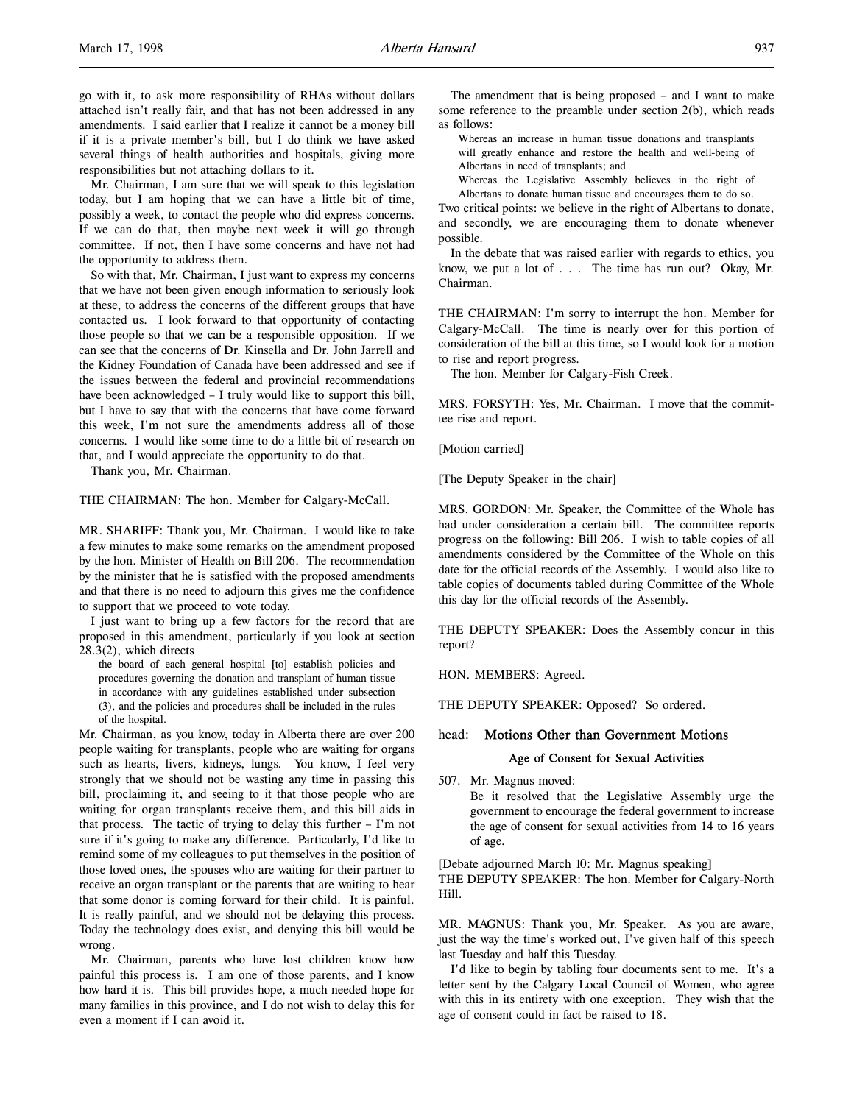go with it, to ask more responsibility of RHAs without dollars attached isn't really fair, and that has not been addressed in any amendments. I said earlier that I realize it cannot be a money bill if it is a private member's bill, but I do think we have asked several things of health authorities and hospitals, giving more responsibilities but not attaching dollars to it.

Mr. Chairman, I am sure that we will speak to this legislation today, but I am hoping that we can have a little bit of time, possibly a week, to contact the people who did express concerns. If we can do that, then maybe next week it will go through committee. If not, then I have some concerns and have not had the opportunity to address them.

So with that, Mr. Chairman, I just want to express my concerns that we have not been given enough information to seriously look at these, to address the concerns of the different groups that have contacted us. I look forward to that opportunity of contacting those people so that we can be a responsible opposition. If we can see that the concerns of Dr. Kinsella and Dr. John Jarrell and the Kidney Foundation of Canada have been addressed and see if the issues between the federal and provincial recommendations have been acknowledged – I truly would like to support this bill, but I have to say that with the concerns that have come forward this week, I'm not sure the amendments address all of those concerns. I would like some time to do a little bit of research on that, and I would appreciate the opportunity to do that.

Thank you, Mr. Chairman.

THE CHAIRMAN: The hon. Member for Calgary-McCall.

MR. SHARIFF: Thank you, Mr. Chairman. I would like to take a few minutes to make some remarks on the amendment proposed by the hon. Minister of Health on Bill 206. The recommendation by the minister that he is satisfied with the proposed amendments and that there is no need to adjourn this gives me the confidence to support that we proceed to vote today.

I just want to bring up a few factors for the record that are proposed in this amendment, particularly if you look at section 28.3(2), which directs

the board of each general hospital [to] establish policies and procedures governing the donation and transplant of human tissue in accordance with any guidelines established under subsection (3), and the policies and procedures shall be included in the rules of the hospital.

Mr. Chairman, as you know, today in Alberta there are over 200 people waiting for transplants, people who are waiting for organs such as hearts, livers, kidneys, lungs. You know, I feel very strongly that we should not be wasting any time in passing this bill, proclaiming it, and seeing to it that those people who are waiting for organ transplants receive them, and this bill aids in that process. The tactic of trying to delay this further – I'm not sure if it's going to make any difference. Particularly, I'd like to remind some of my colleagues to put themselves in the position of those loved ones, the spouses who are waiting for their partner to receive an organ transplant or the parents that are waiting to hear that some donor is coming forward for their child. It is painful. It is really painful, and we should not be delaying this process. Today the technology does exist, and denying this bill would be wrong.

Mr. Chairman, parents who have lost children know how painful this process is. I am one of those parents, and I know how hard it is. This bill provides hope, a much needed hope for many families in this province, and I do not wish to delay this for even a moment if I can avoid it.

The amendment that is being proposed – and I want to make some reference to the preamble under section 2(b), which reads as follows:

Whereas an increase in human tissue donations and transplants will greatly enhance and restore the health and well-being of Albertans in need of transplants; and

Whereas the Legislative Assembly believes in the right of

Albertans to donate human tissue and encourages them to do so. Two critical points: we believe in the right of Albertans to donate, and secondly, we are encouraging them to donate whenever possible.

In the debate that was raised earlier with regards to ethics, you know, we put a lot of . . . The time has run out? Okay, Mr. Chairman.

THE CHAIRMAN: I'm sorry to interrupt the hon. Member for Calgary-McCall. The time is nearly over for this portion of consideration of the bill at this time, so I would look for a motion to rise and report progress.

The hon. Member for Calgary-Fish Creek.

MRS. FORSYTH: Yes, Mr. Chairman. I move that the committee rise and report.

[Motion carried]

[The Deputy Speaker in the chair]

MRS. GORDON: Mr. Speaker, the Committee of the Whole has had under consideration a certain bill. The committee reports progress on the following: Bill 206. I wish to table copies of all amendments considered by the Committee of the Whole on this date for the official records of the Assembly. I would also like to table copies of documents tabled during Committee of the Whole this day for the official records of the Assembly.

THE DEPUTY SPEAKER: Does the Assembly concur in this report?

HON. MEMBERS: Agreed.

THE DEPUTY SPEAKER: Opposed? So ordered.

## head: Motions Other than Government Motions

### Age of Consent for Sexual Activities

507. Mr. Magnus moved:

Be it resolved that the Legislative Assembly urge the government to encourage the federal government to increase the age of consent for sexual activities from 14 to 16 years of age.

[Debate adjourned March 10: Mr. Magnus speaking] THE DEPUTY SPEAKER: The hon. Member for Calgary-North Hill.

MR. MAGNUS: Thank you, Mr. Speaker. As you are aware, just the way the time's worked out, I've given half of this speech last Tuesday and half this Tuesday.

I'd like to begin by tabling four documents sent to me. It's a letter sent by the Calgary Local Council of Women, who agree with this in its entirety with one exception. They wish that the age of consent could in fact be raised to 18.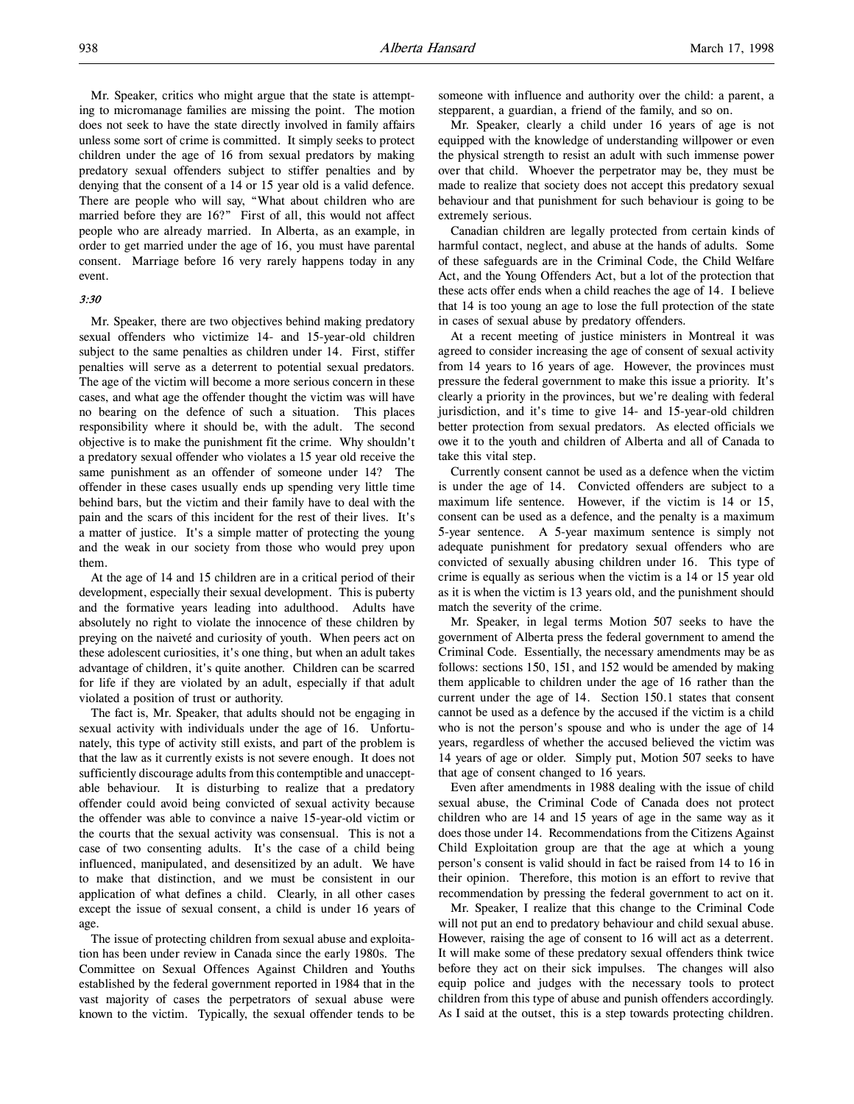Mr. Speaker, critics who might argue that the state is attempting to micromanage families are missing the point. The motion does not seek to have the state directly involved in family affairs unless some sort of crime is committed. It simply seeks to protect children under the age of 16 from sexual predators by making predatory sexual offenders subject to stiffer penalties and by denying that the consent of a 14 or 15 year old is a valid defence. There are people who will say, "What about children who are married before they are 16?" First of all, this would not affect people who are already married. In Alberta, as an example, in order to get married under the age of 16, you must have parental consent. Marriage before 16 very rarely happens today in any event.

### 3:30

Mr. Speaker, there are two objectives behind making predatory sexual offenders who victimize 14- and 15-year-old children subject to the same penalties as children under 14. First, stiffer penalties will serve as a deterrent to potential sexual predators. The age of the victim will become a more serious concern in these cases, and what age the offender thought the victim was will have no bearing on the defence of such a situation. This places responsibility where it should be, with the adult. The second objective is to make the punishment fit the crime. Why shouldn't a predatory sexual offender who violates a 15 year old receive the same punishment as an offender of someone under 14? The offender in these cases usually ends up spending very little time behind bars, but the victim and their family have to deal with the pain and the scars of this incident for the rest of their lives. It's a matter of justice. It's a simple matter of protecting the young and the weak in our society from those who would prey upon them.

At the age of 14 and 15 children are in a critical period of their development, especially their sexual development. This is puberty and the formative years leading into adulthood. Adults have absolutely no right to violate the innocence of these children by preying on the naiveté and curiosity of youth. When peers act on these adolescent curiosities, it's one thing, but when an adult takes advantage of children, it's quite another. Children can be scarred for life if they are violated by an adult, especially if that adult violated a position of trust or authority.

The fact is, Mr. Speaker, that adults should not be engaging in sexual activity with individuals under the age of 16. Unfortunately, this type of activity still exists, and part of the problem is that the law as it currently exists is not severe enough. It does not sufficiently discourage adults from this contemptible and unacceptable behaviour. It is disturbing to realize that a predatory offender could avoid being convicted of sexual activity because the offender was able to convince a naive 15-year-old victim or the courts that the sexual activity was consensual. This is not a case of two consenting adults. It's the case of a child being influenced, manipulated, and desensitized by an adult. We have to make that distinction, and we must be consistent in our application of what defines a child. Clearly, in all other cases except the issue of sexual consent, a child is under 16 years of age.

The issue of protecting children from sexual abuse and exploitation has been under review in Canada since the early 1980s. The Committee on Sexual Offences Against Children and Youths established by the federal government reported in 1984 that in the vast majority of cases the perpetrators of sexual abuse were known to the victim. Typically, the sexual offender tends to be

someone with influence and authority over the child: a parent, a stepparent, a guardian, a friend of the family, and so on.

Mr. Speaker, clearly a child under 16 years of age is not equipped with the knowledge of understanding willpower or even the physical strength to resist an adult with such immense power over that child. Whoever the perpetrator may be, they must be made to realize that society does not accept this predatory sexual behaviour and that punishment for such behaviour is going to be extremely serious.

Canadian children are legally protected from certain kinds of harmful contact, neglect, and abuse at the hands of adults. Some of these safeguards are in the Criminal Code, the Child Welfare Act, and the Young Offenders Act, but a lot of the protection that these acts offer ends when a child reaches the age of 14. I believe that 14 is too young an age to lose the full protection of the state in cases of sexual abuse by predatory offenders.

At a recent meeting of justice ministers in Montreal it was agreed to consider increasing the age of consent of sexual activity from 14 years to 16 years of age. However, the provinces must pressure the federal government to make this issue a priority. It's clearly a priority in the provinces, but we're dealing with federal jurisdiction, and it's time to give 14- and 15-year-old children better protection from sexual predators. As elected officials we owe it to the youth and children of Alberta and all of Canada to take this vital step.

Currently consent cannot be used as a defence when the victim is under the age of 14. Convicted offenders are subject to a maximum life sentence. However, if the victim is 14 or 15, consent can be used as a defence, and the penalty is a maximum 5-year sentence. A 5-year maximum sentence is simply not adequate punishment for predatory sexual offenders who are convicted of sexually abusing children under 16. This type of crime is equally as serious when the victim is a 14 or 15 year old as it is when the victim is 13 years old, and the punishment should match the severity of the crime.

Mr. Speaker, in legal terms Motion 507 seeks to have the government of Alberta press the federal government to amend the Criminal Code. Essentially, the necessary amendments may be as follows: sections 150, 151, and 152 would be amended by making them applicable to children under the age of 16 rather than the current under the age of 14. Section 150.1 states that consent cannot be used as a defence by the accused if the victim is a child who is not the person's spouse and who is under the age of 14 years, regardless of whether the accused believed the victim was 14 years of age or older. Simply put, Motion 507 seeks to have that age of consent changed to 16 years.

Even after amendments in 1988 dealing with the issue of child sexual abuse, the Criminal Code of Canada does not protect children who are 14 and 15 years of age in the same way as it does those under 14. Recommendations from the Citizens Against Child Exploitation group are that the age at which a young person's consent is valid should in fact be raised from 14 to 16 in their opinion. Therefore, this motion is an effort to revive that recommendation by pressing the federal government to act on it.

Mr. Speaker, I realize that this change to the Criminal Code will not put an end to predatory behaviour and child sexual abuse. However, raising the age of consent to 16 will act as a deterrent. It will make some of these predatory sexual offenders think twice before they act on their sick impulses. The changes will also equip police and judges with the necessary tools to protect children from this type of abuse and punish offenders accordingly. As I said at the outset, this is a step towards protecting children.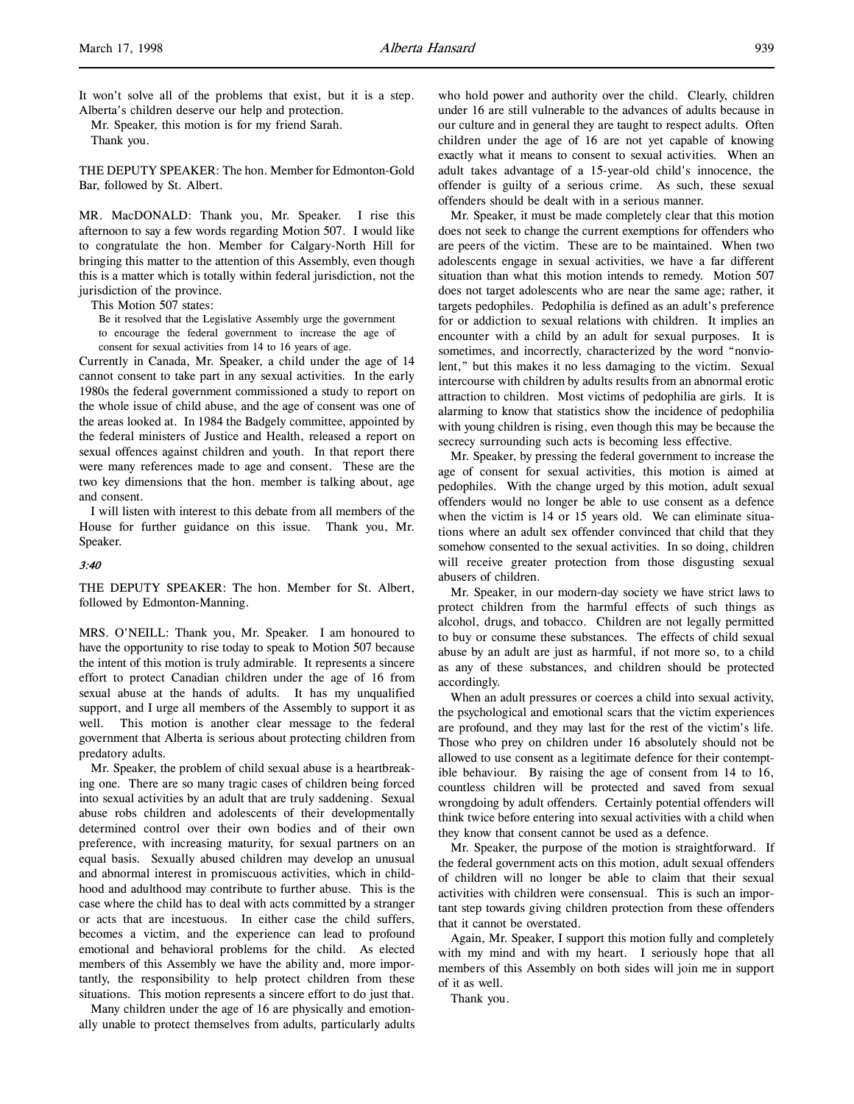It won't solve all of the problems that exist, but it is a step. Alberta's children deserve our help and protection.

Mr. Speaker, this motion is for my friend Sarah. Thank you.

THE DEPUTY SPEAKER: The hon. Member for Edmonton-Gold Bar, followed by St. Albert.

MR. MacDONALD: Thank you, Mr. Speaker. I rise this afternoon to say a few words regarding Motion 507. I would like to congratulate the hon. Member for Calgary-North Hill for bringing this matter to the attention of this Assembly, even though this is a matter which is totally within federal jurisdiction, not the jurisdiction of the province.

This Motion 507 states:

Be it resolved that the Legislative Assembly urge the government to encourage the federal government to increase the age of consent for sexual activities from 14 to 16 years of age.

Currently in Canada, Mr. Speaker, a child under the age of 14 cannot consent to take part in any sexual activities. In the early 1980s the federal government commissioned a study to report on the whole issue of child abuse, and the age of consent was one of the areas looked at. In 1984 the Badgely committee, appointed by the federal ministers of Justice and Health, released a report on sexual offences against children and youth. In that report there were many references made to age and consent. These are the two key dimensions that the hon. member is talking about, age and consent.

I will listen with interest to this debate from all members of the House for further guidance on this issue. Thank you, Mr. Speaker.

### 3:40

THE DEPUTY SPEAKER: The hon. Member for St. Albert, followed by Edmonton-Manning.

MRS. O'NEILL: Thank you, Mr. Speaker. I am honoured to have the opportunity to rise today to speak to Motion 507 because the intent of this motion is truly admirable. It represents a sincere effort to protect Canadian children under the age of 16 from sexual abuse at the hands of adults. It has my unqualified support, and I urge all members of the Assembly to support it as well. This motion is another clear message to the federal government that Alberta is serious about protecting children from predatory adults.

Mr. Speaker, the problem of child sexual abuse is a heartbreaking one. There are so many tragic cases of children being forced into sexual activities by an adult that are truly saddening. Sexual abuse robs children and adolescents of their developmentally determined control over their own bodies and of their own preference, with increasing maturity, for sexual partners on an equal basis. Sexually abused children may develop an unusual and abnormal interest in promiscuous activities, which in childhood and adulthood may contribute to further abuse. This is the case where the child has to deal with acts committed by a stranger or acts that are incestuous. In either case the child suffers, becomes a victim, and the experience can lead to profound emotional and behavioral problems for the child. As elected members of this Assembly we have the ability and, more importantly, the responsibility to help protect children from these situations. This motion represents a sincere effort to do just that.

Many children under the age of 16 are physically and emotionally unable to protect themselves from adults, particularly adults who hold power and authority over the child. Clearly, children under 16 are still vulnerable to the advances of adults because in our culture and in general they are taught to respect adults. Often children under the age of 16 are not yet capable of knowing exactly what it means to consent to sexual activities. When an adult takes advantage of a 15-year-old child's innocence, the offender is guilty of a serious crime. As such, these sexual offenders should be dealt with in a serious manner.

Mr. Speaker, it must be made completely clear that this motion does not seek to change the current exemptions for offenders who are peers of the victim. These are to be maintained. When two adolescents engage in sexual activities, we have a far different situation than what this motion intends to remedy. Motion 507 does not target adolescents who are near the same age; rather, it targets pedophiles. Pedophilia is defined as an adult's preference for or addiction to sexual relations with children. It implies an encounter with a child by an adult for sexual purposes. It is sometimes, and incorrectly, characterized by the word "nonviolent," but this makes it no less damaging to the victim. Sexual intercourse with children by adults results from an abnormal erotic attraction to children. Most victims of pedophilia are girls. It is alarming to know that statistics show the incidence of pedophilia with young children is rising, even though this may be because the secrecy surrounding such acts is becoming less effective.

Mr. Speaker, by pressing the federal government to increase the age of consent for sexual activities, this motion is aimed at pedophiles. With the change urged by this motion, adult sexual offenders would no longer be able to use consent as a defence when the victim is 14 or 15 years old. We can eliminate situations where an adult sex offender convinced that child that they somehow consented to the sexual activities. In so doing, children will receive greater protection from those disgusting sexual abusers of children.

Mr. Speaker, in our modern-day society we have strict laws to protect children from the harmful effects of such things as alcohol, drugs, and tobacco. Children are not legally permitted to buy or consume these substances. The effects of child sexual abuse by an adult are just as harmful, if not more so, to a child as any of these substances, and children should be protected accordingly.

When an adult pressures or coerces a child into sexual activity, the psychological and emotional scars that the victim experiences are profound, and they may last for the rest of the victim's life. Those who prey on children under 16 absolutely should not be allowed to use consent as a legitimate defence for their contemptible behaviour. By raising the age of consent from 14 to 16, countless children will be protected and saved from sexual wrongdoing by adult offenders. Certainly potential offenders will think twice before entering into sexual activities with a child when they know that consent cannot be used as a defence.

Mr. Speaker, the purpose of the motion is straightforward. If the federal government acts on this motion, adult sexual offenders of children will no longer be able to claim that their sexual activities with children were consensual. This is such an important step towards giving children protection from these offenders that it cannot be overstated.

Again, Mr. Speaker, I support this motion fully and completely with my mind and with my heart. I seriously hope that all members of this Assembly on both sides will join me in support of it as well.

Thank you.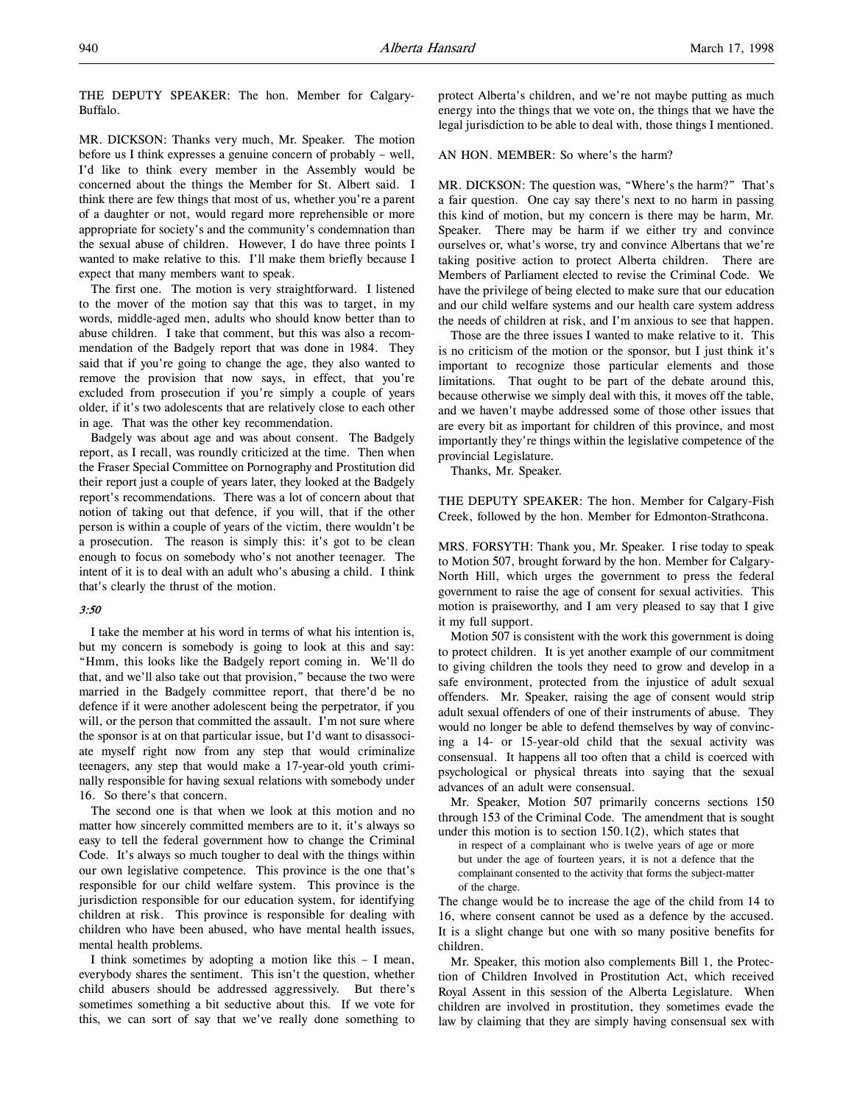THE DEPUTY SPEAKER: The hon. Member for Calgary-Buffalo.

MR. DICKSON: Thanks very much, Mr. Speaker. The motion before us I think expresses a genuine concern of probably – well, I'd like to think every member in the Assembly would be concerned about the things the Member for St. Albert said. I think there are few things that most of us, whether you're a parent of a daughter or not, would regard more reprehensible or more appropriate for society's and the community's condemnation than the sexual abuse of children. However, I do have three points I wanted to make relative to this. I'll make them briefly because I expect that many members want to speak.

The first one. The motion is very straightforward. I listened to the mover of the motion say that this was to target, in my words, middle-aged men, adults who should know better than to abuse children. I take that comment, but this was also a recommendation of the Badgely report that was done in 1984. They said that if you're going to change the age, they also wanted to remove the provision that now says, in effect, that you're excluded from prosecution if you're simply a couple of years older, if it's two adolescents that are relatively close to each other in age. That was the other key recommendation.

Badgely was about age and was about consent. The Badgely report, as I recall, was roundly criticized at the time. Then when the Fraser Special Committee on Pornography and Prostitution did their report just a couple of years later, they looked at the Badgely report's recommendations. There was a lot of concern about that notion of taking out that defence, if you will, that if the other person is within a couple of years of the victim, there wouldn't be a prosecution. The reason is simply this: it's got to be clean enough to focus on somebody who's not another teenager. The intent of it is to deal with an adult who's abusing a child. I think that's clearly the thrust of the motion.

#### 3:50

I take the member at his word in terms of what his intention is, but my concern is somebody is going to look at this and say: "Hmm, this looks like the Badgely report coming in. We'll do that, and we'll also take out that provision," because the two were married in the Badgely committee report, that there'd be no defence if it were another adolescent being the perpetrator, if you will, or the person that committed the assault. I'm not sure where the sponsor is at on that particular issue, but I'd want to disassociate myself right now from any step that would criminalize teenagers, any step that would make a 17-year-old youth criminally responsible for having sexual relations with somebody under 16. So there's that concern.

The second one is that when we look at this motion and no matter how sincerely committed members are to it, it's always so easy to tell the federal government how to change the Criminal Code. It's always so much tougher to deal with the things within our own legislative competence. This province is the one that's responsible for our child welfare system. This province is the jurisdiction responsible for our education system, for identifying children at risk. This province is responsible for dealing with children who have been abused, who have mental health issues, mental health problems.

I think sometimes by adopting a motion like this – I mean, everybody shares the sentiment. This isn't the question, whether child abusers should be addressed aggressively. But there's sometimes something a bit seductive about this. If we vote for this, we can sort of say that we've really done something to

protect Alberta's children, and we're not maybe putting as much energy into the things that we vote on, the things that we have the legal jurisdiction to be able to deal with, those things I mentioned.

### AN HON. MEMBER: So where's the harm?

MR. DICKSON: The question was, "Where's the harm?" That's a fair question. One cay say there's next to no harm in passing this kind of motion, but my concern is there may be harm, Mr. Speaker. There may be harm if we either try and convince ourselves or, what's worse, try and convince Albertans that we're taking positive action to protect Alberta children. There are Members of Parliament elected to revise the Criminal Code. We have the privilege of being elected to make sure that our education and our child welfare systems and our health care system address the needs of children at risk, and I'm anxious to see that happen.

Those are the three issues I wanted to make relative to it. This is no criticism of the motion or the sponsor, but I just think it's important to recognize those particular elements and those limitations. That ought to be part of the debate around this, because otherwise we simply deal with this, it moves off the table, and we haven't maybe addressed some of those other issues that are every bit as important for children of this province, and most importantly they're things within the legislative competence of the provincial Legislature.

Thanks, Mr. Speaker.

THE DEPUTY SPEAKER: The hon. Member for Calgary-Fish Creek, followed by the hon. Member for Edmonton-Strathcona.

MRS. FORSYTH: Thank you, Mr. Speaker. I rise today to speak to Motion 507, brought forward by the hon. Member for Calgary-North Hill, which urges the government to press the federal government to raise the age of consent for sexual activities. This motion is praiseworthy, and I am very pleased to say that I give it my full support.

Motion 507 is consistent with the work this government is doing to protect children. It is yet another example of our commitment to giving children the tools they need to grow and develop in a safe environment, protected from the injustice of adult sexual offenders. Mr. Speaker, raising the age of consent would strip adult sexual offenders of one of their instruments of abuse. They would no longer be able to defend themselves by way of convincing a 14- or 15-year-old child that the sexual activity was consensual. It happens all too often that a child is coerced with psychological or physical threats into saying that the sexual advances of an adult were consensual.

Mr. Speaker, Motion 507 primarily concerns sections 150 through 153 of the Criminal Code. The amendment that is sought under this motion is to section 150.1(2), which states that

in respect of a complainant who is twelve years of age or more but under the age of fourteen years, it is not a defence that the complainant consented to the activity that forms the subject-matter of the charge.

The change would be to increase the age of the child from 14 to 16, where consent cannot be used as a defence by the accused. It is a slight change but one with so many positive benefits for children.

Mr. Speaker, this motion also complements Bill 1, the Protection of Children Involved in Prostitution Act, which received Royal Assent in this session of the Alberta Legislature. When children are involved in prostitution, they sometimes evade the law by claiming that they are simply having consensual sex with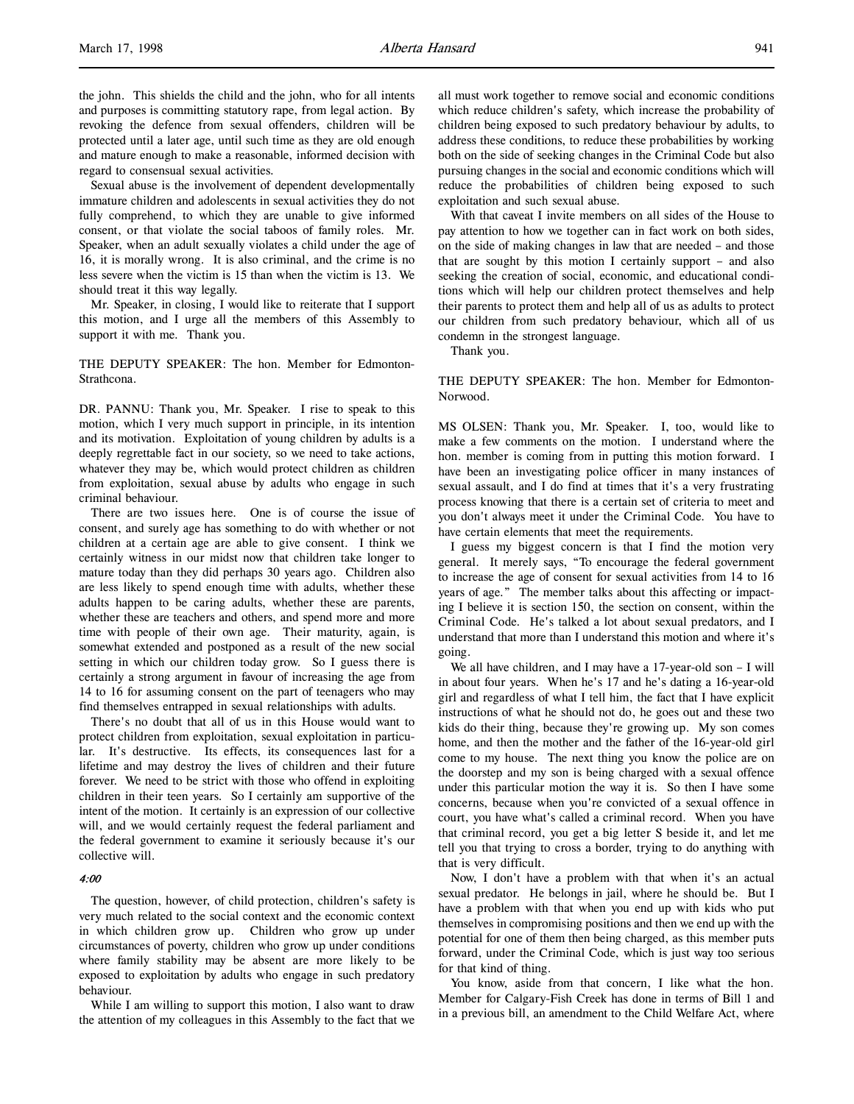the john. This shields the child and the john, who for all intents and purposes is committing statutory rape, from legal action. By revoking the defence from sexual offenders, children will be protected until a later age, until such time as they are old enough and mature enough to make a reasonable, informed decision with regard to consensual sexual activities.

Sexual abuse is the involvement of dependent developmentally immature children and adolescents in sexual activities they do not fully comprehend, to which they are unable to give informed consent, or that violate the social taboos of family roles. Mr. Speaker, when an adult sexually violates a child under the age of 16, it is morally wrong. It is also criminal, and the crime is no less severe when the victim is 15 than when the victim is 13. We should treat it this way legally.

Mr. Speaker, in closing, I would like to reiterate that I support this motion, and I urge all the members of this Assembly to support it with me. Thank you.

THE DEPUTY SPEAKER: The hon. Member for Edmonton-Strathcona.

DR. PANNU: Thank you, Mr. Speaker. I rise to speak to this motion, which I very much support in principle, in its intention and its motivation. Exploitation of young children by adults is a deeply regrettable fact in our society, so we need to take actions, whatever they may be, which would protect children as children from exploitation, sexual abuse by adults who engage in such criminal behaviour.

There are two issues here. One is of course the issue of consent, and surely age has something to do with whether or not children at a certain age are able to give consent. I think we certainly witness in our midst now that children take longer to mature today than they did perhaps 30 years ago. Children also are less likely to spend enough time with adults, whether these adults happen to be caring adults, whether these are parents, whether these are teachers and others, and spend more and more time with people of their own age. Their maturity, again, is somewhat extended and postponed as a result of the new social setting in which our children today grow. So I guess there is certainly a strong argument in favour of increasing the age from 14 to 16 for assuming consent on the part of teenagers who may find themselves entrapped in sexual relationships with adults.

There's no doubt that all of us in this House would want to protect children from exploitation, sexual exploitation in particular. It's destructive. Its effects, its consequences last for a lifetime and may destroy the lives of children and their future forever. We need to be strict with those who offend in exploiting children in their teen years. So I certainly am supportive of the intent of the motion. It certainly is an expression of our collective will, and we would certainly request the federal parliament and the federal government to examine it seriously because it's our collective will.

#### 4:00

The question, however, of child protection, children's safety is very much related to the social context and the economic context in which children grow up. Children who grow up under circumstances of poverty, children who grow up under conditions where family stability may be absent are more likely to be exposed to exploitation by adults who engage in such predatory behaviour.

While I am willing to support this motion, I also want to draw the attention of my colleagues in this Assembly to the fact that we

all must work together to remove social and economic conditions which reduce children's safety, which increase the probability of children being exposed to such predatory behaviour by adults, to address these conditions, to reduce these probabilities by working both on the side of seeking changes in the Criminal Code but also pursuing changes in the social and economic conditions which will reduce the probabilities of children being exposed to such exploitation and such sexual abuse.

With that caveat I invite members on all sides of the House to pay attention to how we together can in fact work on both sides, on the side of making changes in law that are needed – and those that are sought by this motion I certainly support – and also seeking the creation of social, economic, and educational conditions which will help our children protect themselves and help their parents to protect them and help all of us as adults to protect our children from such predatory behaviour, which all of us condemn in the strongest language.

Thank you.

THE DEPUTY SPEAKER: The hon. Member for Edmonton-Norwood.

MS OLSEN: Thank you, Mr. Speaker. I, too, would like to make a few comments on the motion. I understand where the hon. member is coming from in putting this motion forward. I have been an investigating police officer in many instances of sexual assault, and I do find at times that it's a very frustrating process knowing that there is a certain set of criteria to meet and you don't always meet it under the Criminal Code. You have to have certain elements that meet the requirements.

I guess my biggest concern is that I find the motion very general. It merely says, "To encourage the federal government to increase the age of consent for sexual activities from 14 to 16 years of age." The member talks about this affecting or impacting I believe it is section 150, the section on consent, within the Criminal Code. He's talked a lot about sexual predators, and I understand that more than I understand this motion and where it's going.

We all have children, and I may have a 17-year-old son - I will in about four years. When he's 17 and he's dating a 16-year-old girl and regardless of what I tell him, the fact that I have explicit instructions of what he should not do, he goes out and these two kids do their thing, because they're growing up. My son comes home, and then the mother and the father of the 16-year-old girl come to my house. The next thing you know the police are on the doorstep and my son is being charged with a sexual offence under this particular motion the way it is. So then I have some concerns, because when you're convicted of a sexual offence in court, you have what's called a criminal record. When you have that criminal record, you get a big letter S beside it, and let me tell you that trying to cross a border, trying to do anything with that is very difficult.

Now, I don't have a problem with that when it's an actual sexual predator. He belongs in jail, where he should be. But I have a problem with that when you end up with kids who put themselves in compromising positions and then we end up with the potential for one of them then being charged, as this member puts forward, under the Criminal Code, which is just way too serious for that kind of thing.

You know, aside from that concern, I like what the hon. Member for Calgary-Fish Creek has done in terms of Bill 1 and in a previous bill, an amendment to the Child Welfare Act, where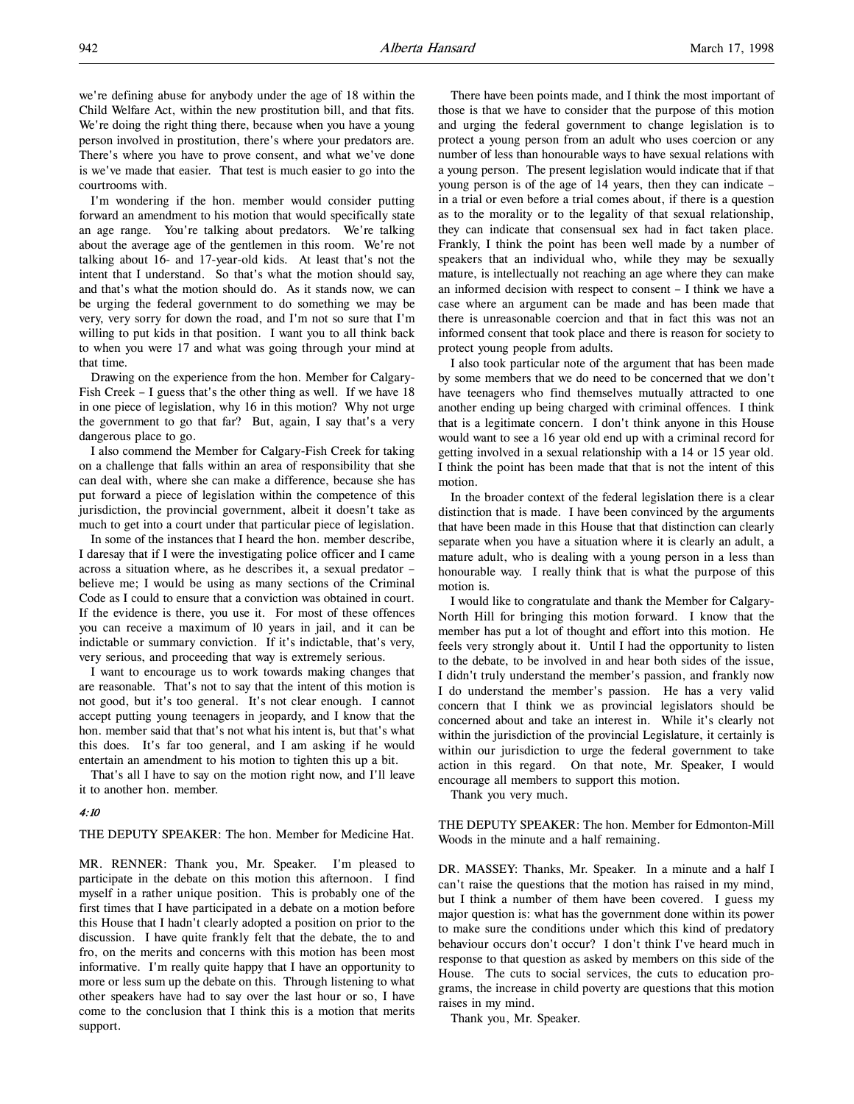I'm wondering if the hon. member would consider putting forward an amendment to his motion that would specifically state an age range. You're talking about predators. We're talking about the average age of the gentlemen in this room. We're not talking about 16- and 17-year-old kids. At least that's not the intent that I understand. So that's what the motion should say, and that's what the motion should do. As it stands now, we can be urging the federal government to do something we may be very, very sorry for down the road, and I'm not so sure that I'm willing to put kids in that position. I want you to all think back to when you were 17 and what was going through your mind at that time.

Drawing on the experience from the hon. Member for Calgary-Fish Creek – I guess that's the other thing as well. If we have 18 in one piece of legislation, why 16 in this motion? Why not urge the government to go that far? But, again, I say that's a very dangerous place to go.

I also commend the Member for Calgary-Fish Creek for taking on a challenge that falls within an area of responsibility that she can deal with, where she can make a difference, because she has put forward a piece of legislation within the competence of this jurisdiction, the provincial government, albeit it doesn't take as much to get into a court under that particular piece of legislation.

In some of the instances that I heard the hon. member describe, I daresay that if I were the investigating police officer and I came across a situation where, as he describes it, a sexual predator – believe me; I would be using as many sections of the Criminal Code as I could to ensure that a conviction was obtained in court. If the evidence is there, you use it. For most of these offences you can receive a maximum of 10 years in jail, and it can be indictable or summary conviction. If it's indictable, that's very, very serious, and proceeding that way is extremely serious.

I want to encourage us to work towards making changes that are reasonable. That's not to say that the intent of this motion is not good, but it's too general. It's not clear enough. I cannot accept putting young teenagers in jeopardy, and I know that the hon. member said that that's not what his intent is, but that's what this does. It's far too general, and I am asking if he would entertain an amendment to his motion to tighten this up a bit.

That's all I have to say on the motion right now, and I'll leave it to another hon. member.

### 4:10

THE DEPUTY SPEAKER: The hon. Member for Medicine Hat.

MR. RENNER: Thank you, Mr. Speaker. I'm pleased to participate in the debate on this motion this afternoon. I find myself in a rather unique position. This is probably one of the first times that I have participated in a debate on a motion before this House that I hadn't clearly adopted a position on prior to the discussion. I have quite frankly felt that the debate, the to and fro, on the merits and concerns with this motion has been most informative. I'm really quite happy that I have an opportunity to more or less sum up the debate on this. Through listening to what other speakers have had to say over the last hour or so, I have come to the conclusion that I think this is a motion that merits support.

There have been points made, and I think the most important of those is that we have to consider that the purpose of this motion and urging the federal government to change legislation is to protect a young person from an adult who uses coercion or any number of less than honourable ways to have sexual relations with a young person. The present legislation would indicate that if that young person is of the age of 14 years, then they can indicate – in a trial or even before a trial comes about, if there is a question as to the morality or to the legality of that sexual relationship, they can indicate that consensual sex had in fact taken place. Frankly, I think the point has been well made by a number of speakers that an individual who, while they may be sexually mature, is intellectually not reaching an age where they can make an informed decision with respect to consent – I think we have a case where an argument can be made and has been made that there is unreasonable coercion and that in fact this was not an informed consent that took place and there is reason for society to protect young people from adults.

I also took particular note of the argument that has been made by some members that we do need to be concerned that we don't have teenagers who find themselves mutually attracted to one another ending up being charged with criminal offences. I think that is a legitimate concern. I don't think anyone in this House would want to see a 16 year old end up with a criminal record for getting involved in a sexual relationship with a 14 or 15 year old. I think the point has been made that that is not the intent of this motion.

In the broader context of the federal legislation there is a clear distinction that is made. I have been convinced by the arguments that have been made in this House that that distinction can clearly separate when you have a situation where it is clearly an adult, a mature adult, who is dealing with a young person in a less than honourable way. I really think that is what the purpose of this motion is.

I would like to congratulate and thank the Member for Calgary-North Hill for bringing this motion forward. I know that the member has put a lot of thought and effort into this motion. He feels very strongly about it. Until I had the opportunity to listen to the debate, to be involved in and hear both sides of the issue, I didn't truly understand the member's passion, and frankly now I do understand the member's passion. He has a very valid concern that I think we as provincial legislators should be concerned about and take an interest in. While it's clearly not within the jurisdiction of the provincial Legislature, it certainly is within our jurisdiction to urge the federal government to take action in this regard. On that note, Mr. Speaker, I would encourage all members to support this motion.

Thank you very much.

THE DEPUTY SPEAKER: The hon. Member for Edmonton-Mill Woods in the minute and a half remaining.

DR. MASSEY: Thanks, Mr. Speaker. In a minute and a half I can't raise the questions that the motion has raised in my mind, but I think a number of them have been covered. I guess my major question is: what has the government done within its power to make sure the conditions under which this kind of predatory behaviour occurs don't occur? I don't think I've heard much in response to that question as asked by members on this side of the House. The cuts to social services, the cuts to education programs, the increase in child poverty are questions that this motion raises in my mind.

Thank you, Mr. Speaker.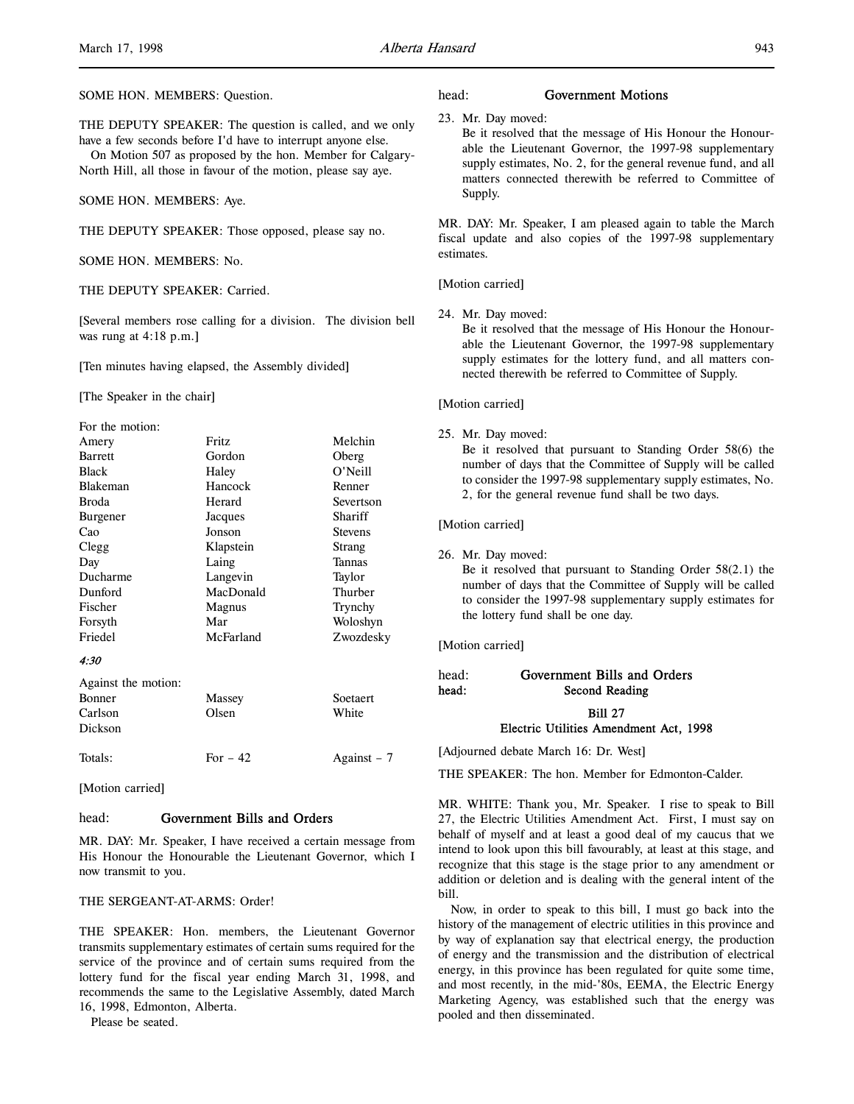THE DEPUTY SPEAKER: The question is called, and we only have a few seconds before I'd have to interrupt anyone else.

On Motion 507 as proposed by the hon. Member for Calgary-North Hill, all those in favour of the motion, please say aye.

SOME HON. MEMBERS: Aye.

THE DEPUTY SPEAKER: Those opposed, please say no.

SOME HON. MEMBERS: No.

THE DEPUTY SPEAKER: Carried.

[Several members rose calling for a division. The division bell was rung at 4:18 p.m.]

[Ten minutes having elapsed, the Assembly divided]

[The Speaker in the chair]

| For the motion:     |           |                |
|---------------------|-----------|----------------|
| Amery               | Fritz     | Melchin        |
| <b>Barrett</b>      | Gordon    | Oberg          |
| <b>Black</b>        | Haley     | O'Neill        |
| <b>Blakeman</b>     | Hancock   | Renner         |
| <b>Broda</b>        | Herard    | Severtson      |
| Burgener            | Jacques   | Shariff        |
| Cao                 | Jonson    | <b>Stevens</b> |
| Clegg               | Klapstein | Strang         |
| Day                 | Laing     | Tannas         |
| Ducharme            | Langevin  | Taylor         |
| Dunford             | MacDonald | Thurber        |
| Fischer             | Magnus    | Trynchy        |
| Forsyth             | Mar       | Woloshyn       |
| Friedel             | McFarland | Zwozdesky      |
| 4:30                |           |                |
| Against the motion: |           |                |
|                     |           |                |

| Bonner  | Massey    | Soetaert     |
|---------|-----------|--------------|
| Carlson | Olsen     | White        |
| Dickson |           |              |
| Totals: | For $-42$ | Against $-7$ |

[Motion carried]

### head: Government Bills and Orders

MR. DAY: Mr. Speaker, I have received a certain message from His Honour the Honourable the Lieutenant Governor, which I now transmit to you.

### THE SERGEANT-AT-ARMS: Order!

THE SPEAKER: Hon. members, the Lieutenant Governor transmits supplementary estimates of certain sums required for the service of the province and of certain sums required from the lottery fund for the fiscal year ending March 31, 1998, and recommends the same to the Legislative Assembly, dated March 16, 1998, Edmonton, Alberta.

Please be seated.

### head: Government Motions

23. Mr. Day moved:

Be it resolved that the message of His Honour the Honourable the Lieutenant Governor, the 1997-98 supplementary supply estimates, No. 2, for the general revenue fund, and all matters connected therewith be referred to Committee of Supply.

MR. DAY: Mr. Speaker, I am pleased again to table the March fiscal update and also copies of the 1997-98 supplementary estimates.

[Motion carried]

24. Mr. Day moved:

Be it resolved that the message of His Honour the Honourable the Lieutenant Governor, the 1997-98 supplementary supply estimates for the lottery fund, and all matters connected therewith be referred to Committee of Supply.

### [Motion carried]

25. Mr. Day moved:

Be it resolved that pursuant to Standing Order 58(6) the number of days that the Committee of Supply will be called to consider the 1997-98 supplementary supply estimates, No. 2, for the general revenue fund shall be two days.

#### [Motion carried]

26. Mr. Day moved:

Be it resolved that pursuant to Standing Order 58(2.1) the number of days that the Committee of Supply will be called to consider the 1997-98 supplementary supply estimates for the lottery fund shall be one day.

[Motion carried]

head: Government Bills and Orders head: Second Reading Bill 27 Electric Utilities Amendment Act, 1998

[Adjourned debate March 16: Dr. West]

THE SPEAKER: The hon. Member for Edmonton-Calder.

MR. WHITE: Thank you, Mr. Speaker. I rise to speak to Bill 27, the Electric Utilities Amendment Act. First, I must say on behalf of myself and at least a good deal of my caucus that we intend to look upon this bill favourably, at least at this stage, and recognize that this stage is the stage prior to any amendment or addition or deletion and is dealing with the general intent of the bill.

Now, in order to speak to this bill, I must go back into the history of the management of electric utilities in this province and by way of explanation say that electrical energy, the production of energy and the transmission and the distribution of electrical energy, in this province has been regulated for quite some time, and most recently, in the mid-'80s, EEMA, the Electric Energy Marketing Agency, was established such that the energy was pooled and then disseminated.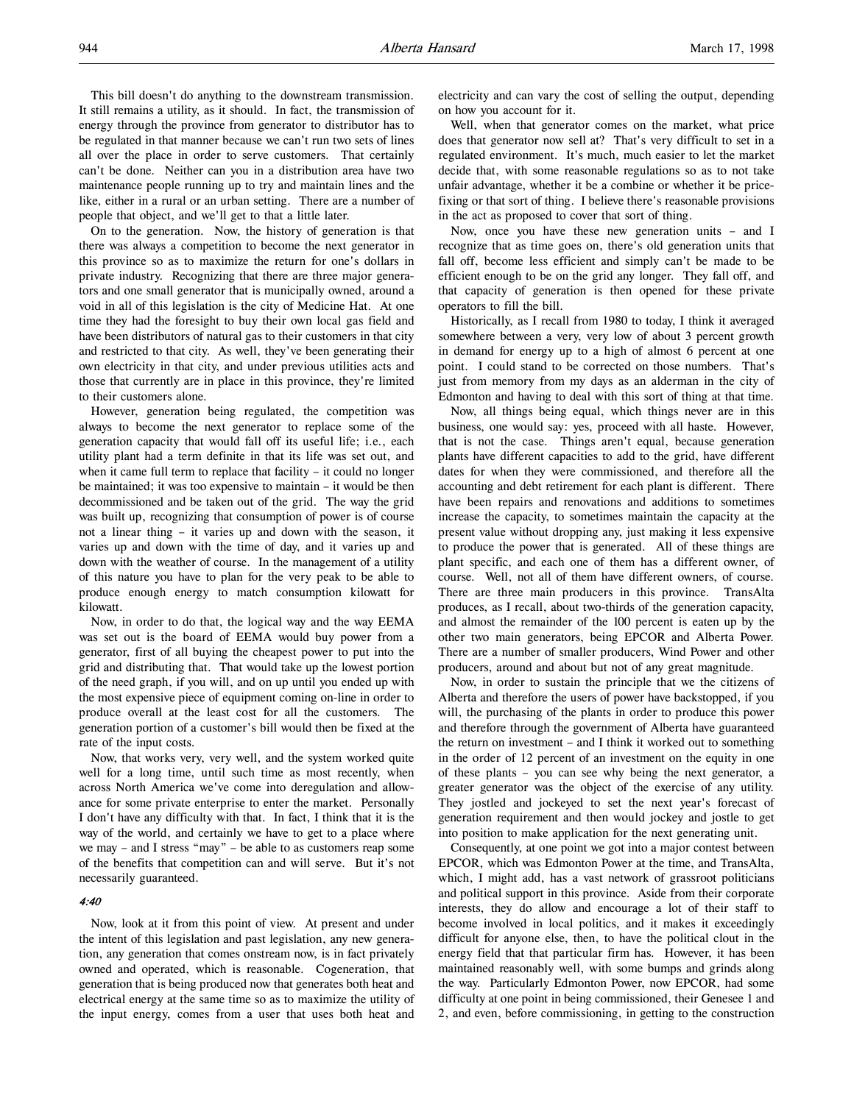This bill doesn't do anything to the downstream transmission. It still remains a utility, as it should. In fact, the transmission of energy through the province from generator to distributor has to be regulated in that manner because we can't run two sets of lines all over the place in order to serve customers. That certainly can't be done. Neither can you in a distribution area have two maintenance people running up to try and maintain lines and the like, either in a rural or an urban setting. There are a number of people that object, and we'll get to that a little later.

On to the generation. Now, the history of generation is that there was always a competition to become the next generator in this province so as to maximize the return for one's dollars in private industry. Recognizing that there are three major generators and one small generator that is municipally owned, around a void in all of this legislation is the city of Medicine Hat. At one time they had the foresight to buy their own local gas field and have been distributors of natural gas to their customers in that city and restricted to that city. As well, they've been generating their own electricity in that city, and under previous utilities acts and those that currently are in place in this province, they're limited to their customers alone.

However, generation being regulated, the competition was always to become the next generator to replace some of the generation capacity that would fall off its useful life; i.e., each utility plant had a term definite in that its life was set out, and when it came full term to replace that facility – it could no longer be maintained; it was too expensive to maintain – it would be then decommissioned and be taken out of the grid. The way the grid was built up, recognizing that consumption of power is of course not a linear thing – it varies up and down with the season, it varies up and down with the time of day, and it varies up and down with the weather of course. In the management of a utility of this nature you have to plan for the very peak to be able to produce enough energy to match consumption kilowatt for kilowatt.

Now, in order to do that, the logical way and the way EEMA was set out is the board of EEMA would buy power from a generator, first of all buying the cheapest power to put into the grid and distributing that. That would take up the lowest portion of the need graph, if you will, and on up until you ended up with the most expensive piece of equipment coming on-line in order to produce overall at the least cost for all the customers. The generation portion of a customer's bill would then be fixed at the rate of the input costs.

Now, that works very, very well, and the system worked quite well for a long time, until such time as most recently, when across North America we've come into deregulation and allowance for some private enterprise to enter the market. Personally I don't have any difficulty with that. In fact, I think that it is the way of the world, and certainly we have to get to a place where we may – and I stress "may" – be able to as customers reap some of the benefits that competition can and will serve. But it's not necessarily guaranteed.

#### 4:40

Now, look at it from this point of view. At present and under the intent of this legislation and past legislation, any new generation, any generation that comes onstream now, is in fact privately owned and operated, which is reasonable. Cogeneration, that generation that is being produced now that generates both heat and electrical energy at the same time so as to maximize the utility of the input energy, comes from a user that uses both heat and electricity and can vary the cost of selling the output, depending on how you account for it.

Well, when that generator comes on the market, what price does that generator now sell at? That's very difficult to set in a regulated environment. It's much, much easier to let the market decide that, with some reasonable regulations so as to not take unfair advantage, whether it be a combine or whether it be pricefixing or that sort of thing. I believe there's reasonable provisions in the act as proposed to cover that sort of thing.

Now, once you have these new generation units – and I recognize that as time goes on, there's old generation units that fall off, become less efficient and simply can't be made to be efficient enough to be on the grid any longer. They fall off, and that capacity of generation is then opened for these private operators to fill the bill.

Historically, as I recall from 1980 to today, I think it averaged somewhere between a very, very low of about 3 percent growth in demand for energy up to a high of almost 6 percent at one point. I could stand to be corrected on those numbers. That's just from memory from my days as an alderman in the city of Edmonton and having to deal with this sort of thing at that time.

Now, all things being equal, which things never are in this business, one would say: yes, proceed with all haste. However, that is not the case. Things aren't equal, because generation plants have different capacities to add to the grid, have different dates for when they were commissioned, and therefore all the accounting and debt retirement for each plant is different. There have been repairs and renovations and additions to sometimes increase the capacity, to sometimes maintain the capacity at the present value without dropping any, just making it less expensive to produce the power that is generated. All of these things are plant specific, and each one of them has a different owner, of course. Well, not all of them have different owners, of course. There are three main producers in this province. TransAlta produces, as I recall, about two-thirds of the generation capacity, and almost the remainder of the 100 percent is eaten up by the other two main generators, being EPCOR and Alberta Power. There are a number of smaller producers, Wind Power and other producers, around and about but not of any great magnitude.

Now, in order to sustain the principle that we the citizens of Alberta and therefore the users of power have backstopped, if you will, the purchasing of the plants in order to produce this power and therefore through the government of Alberta have guaranteed the return on investment – and I think it worked out to something in the order of 12 percent of an investment on the equity in one of these plants – you can see why being the next generator, a greater generator was the object of the exercise of any utility. They jostled and jockeyed to set the next year's forecast of generation requirement and then would jockey and jostle to get into position to make application for the next generating unit.

Consequently, at one point we got into a major contest between EPCOR, which was Edmonton Power at the time, and TransAlta, which, I might add, has a vast network of grassroot politicians and political support in this province. Aside from their corporate interests, they do allow and encourage a lot of their staff to become involved in local politics, and it makes it exceedingly difficult for anyone else, then, to have the political clout in the energy field that that particular firm has. However, it has been maintained reasonably well, with some bumps and grinds along the way. Particularly Edmonton Power, now EPCOR, had some difficulty at one point in being commissioned, their Genesee 1 and 2, and even, before commissioning, in getting to the construction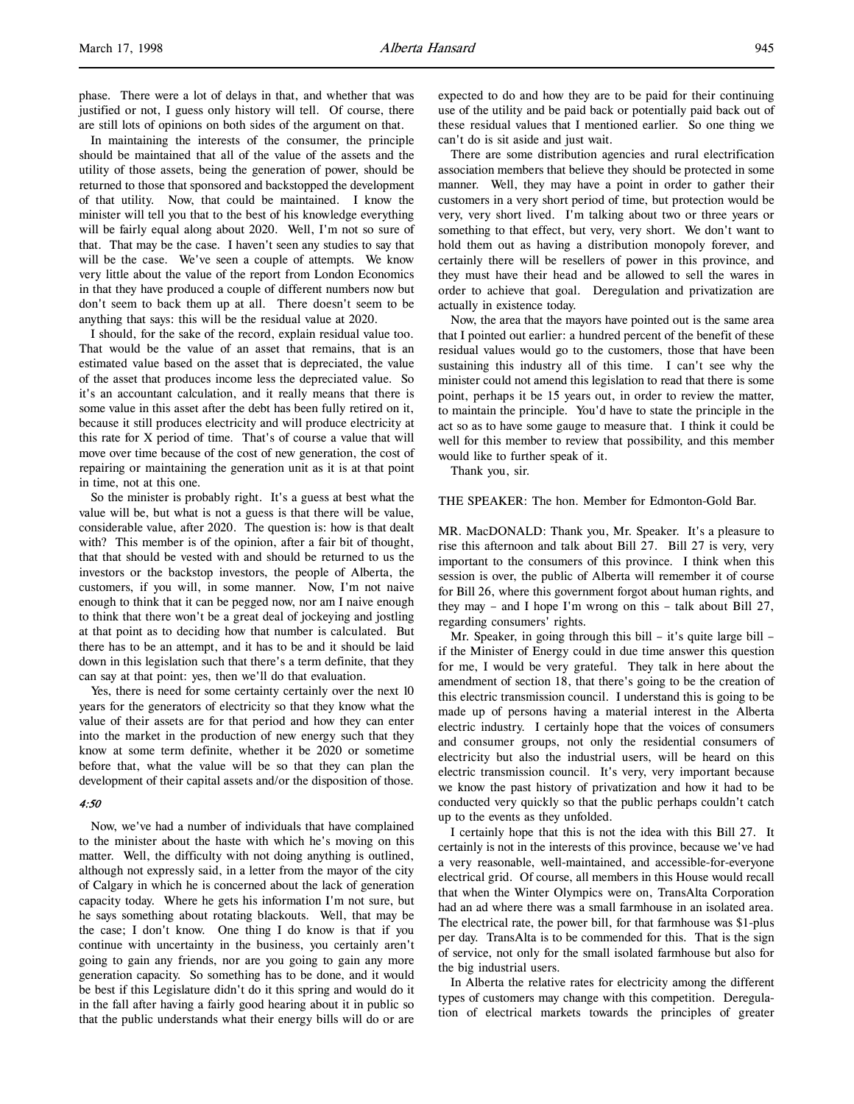phase. There were a lot of delays in that, and whether that was justified or not, I guess only history will tell. Of course, there are still lots of opinions on both sides of the argument on that.

In maintaining the interests of the consumer, the principle should be maintained that all of the value of the assets and the utility of those assets, being the generation of power, should be returned to those that sponsored and backstopped the development of that utility. Now, that could be maintained. I know the minister will tell you that to the best of his knowledge everything will be fairly equal along about 2020. Well, I'm not so sure of that. That may be the case. I haven't seen any studies to say that will be the case. We've seen a couple of attempts. We know very little about the value of the report from London Economics in that they have produced a couple of different numbers now but don't seem to back them up at all. There doesn't seem to be anything that says: this will be the residual value at 2020.

I should, for the sake of the record, explain residual value too. That would be the value of an asset that remains, that is an estimated value based on the asset that is depreciated, the value of the asset that produces income less the depreciated value. So it's an accountant calculation, and it really means that there is some value in this asset after the debt has been fully retired on it, because it still produces electricity and will produce electricity at this rate for X period of time. That's of course a value that will move over time because of the cost of new generation, the cost of repairing or maintaining the generation unit as it is at that point in time, not at this one.

So the minister is probably right. It's a guess at best what the value will be, but what is not a guess is that there will be value, considerable value, after 2020. The question is: how is that dealt with? This member is of the opinion, after a fair bit of thought, that that should be vested with and should be returned to us the investors or the backstop investors, the people of Alberta, the customers, if you will, in some manner. Now, I'm not naive enough to think that it can be pegged now, nor am I naive enough to think that there won't be a great deal of jockeying and jostling at that point as to deciding how that number is calculated. But there has to be an attempt, and it has to be and it should be laid down in this legislation such that there's a term definite, that they can say at that point: yes, then we'll do that evaluation.

Yes, there is need for some certainty certainly over the next 10 years for the generators of electricity so that they know what the value of their assets are for that period and how they can enter into the market in the production of new energy such that they know at some term definite, whether it be 2020 or sometime before that, what the value will be so that they can plan the development of their capital assets and/or the disposition of those.

## 4:50

Now, we've had a number of individuals that have complained to the minister about the haste with which he's moving on this matter. Well, the difficulty with not doing anything is outlined, although not expressly said, in a letter from the mayor of the city of Calgary in which he is concerned about the lack of generation capacity today. Where he gets his information I'm not sure, but he says something about rotating blackouts. Well, that may be the case; I don't know. One thing I do know is that if you continue with uncertainty in the business, you certainly aren't going to gain any friends, nor are you going to gain any more generation capacity. So something has to be done, and it would be best if this Legislature didn't do it this spring and would do it in the fall after having a fairly good hearing about it in public so that the public understands what their energy bills will do or are expected to do and how they are to be paid for their continuing use of the utility and be paid back or potentially paid back out of these residual values that I mentioned earlier. So one thing we can't do is sit aside and just wait.

There are some distribution agencies and rural electrification association members that believe they should be protected in some manner. Well, they may have a point in order to gather their customers in a very short period of time, but protection would be very, very short lived. I'm talking about two or three years or something to that effect, but very, very short. We don't want to hold them out as having a distribution monopoly forever, and certainly there will be resellers of power in this province, and they must have their head and be allowed to sell the wares in order to achieve that goal. Deregulation and privatization are actually in existence today.

Now, the area that the mayors have pointed out is the same area that I pointed out earlier: a hundred percent of the benefit of these residual values would go to the customers, those that have been sustaining this industry all of this time. I can't see why the minister could not amend this legislation to read that there is some point, perhaps it be 15 years out, in order to review the matter, to maintain the principle. You'd have to state the principle in the act so as to have some gauge to measure that. I think it could be well for this member to review that possibility, and this member would like to further speak of it.

Thank you, sir.

THE SPEAKER: The hon. Member for Edmonton-Gold Bar.

MR. MacDONALD: Thank you, Mr. Speaker. It's a pleasure to rise this afternoon and talk about Bill 27. Bill 27 is very, very important to the consumers of this province. I think when this session is over, the public of Alberta will remember it of course for Bill 26, where this government forgot about human rights, and they may – and I hope I'm wrong on this – talk about Bill 27, regarding consumers' rights.

Mr. Speaker, in going through this bill – it's quite large bill – if the Minister of Energy could in due time answer this question for me, I would be very grateful. They talk in here about the amendment of section 18, that there's going to be the creation of this electric transmission council. I understand this is going to be made up of persons having a material interest in the Alberta electric industry. I certainly hope that the voices of consumers and consumer groups, not only the residential consumers of electricity but also the industrial users, will be heard on this electric transmission council. It's very, very important because we know the past history of privatization and how it had to be conducted very quickly so that the public perhaps couldn't catch up to the events as they unfolded.

I certainly hope that this is not the idea with this Bill 27. It certainly is not in the interests of this province, because we've had a very reasonable, well-maintained, and accessible-for-everyone electrical grid. Of course, all members in this House would recall that when the Winter Olympics were on, TransAlta Corporation had an ad where there was a small farmhouse in an isolated area. The electrical rate, the power bill, for that farmhouse was \$1-plus per day. TransAlta is to be commended for this. That is the sign of service, not only for the small isolated farmhouse but also for the big industrial users.

In Alberta the relative rates for electricity among the different types of customers may change with this competition. Deregulation of electrical markets towards the principles of greater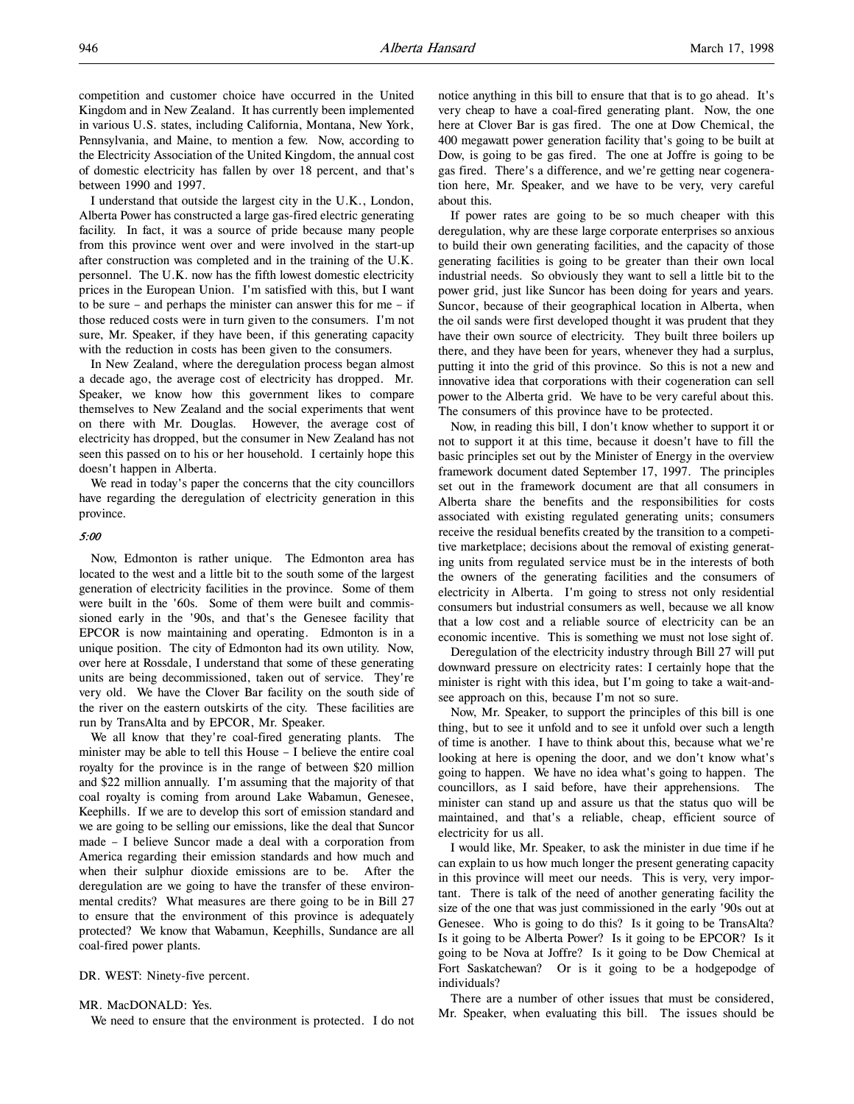I understand that outside the largest city in the U.K., London, Alberta Power has constructed a large gas-fired electric generating facility. In fact, it was a source of pride because many people from this province went over and were involved in the start-up after construction was completed and in the training of the U.K. personnel. The U.K. now has the fifth lowest domestic electricity prices in the European Union. I'm satisfied with this, but I want to be sure – and perhaps the minister can answer this for me – if those reduced costs were in turn given to the consumers. I'm not sure, Mr. Speaker, if they have been, if this generating capacity with the reduction in costs has been given to the consumers.

In New Zealand, where the deregulation process began almost a decade ago, the average cost of electricity has dropped. Mr. Speaker, we know how this government likes to compare themselves to New Zealand and the social experiments that went on there with Mr. Douglas. However, the average cost of electricity has dropped, but the consumer in New Zealand has not seen this passed on to his or her household. I certainly hope this doesn't happen in Alberta.

We read in today's paper the concerns that the city councillors have regarding the deregulation of electricity generation in this province.

### 5:00

Now, Edmonton is rather unique. The Edmonton area has located to the west and a little bit to the south some of the largest generation of electricity facilities in the province. Some of them were built in the '60s. Some of them were built and commissioned early in the '90s, and that's the Genesee facility that EPCOR is now maintaining and operating. Edmonton is in a unique position. The city of Edmonton had its own utility. Now, over here at Rossdale, I understand that some of these generating units are being decommissioned, taken out of service. They're very old. We have the Clover Bar facility on the south side of the river on the eastern outskirts of the city. These facilities are run by TransAlta and by EPCOR, Mr. Speaker.

We all know that they're coal-fired generating plants. The minister may be able to tell this House – I believe the entire coal royalty for the province is in the range of between \$20 million and \$22 million annually. I'm assuming that the majority of that coal royalty is coming from around Lake Wabamun, Genesee, Keephills. If we are to develop this sort of emission standard and we are going to be selling our emissions, like the deal that Suncor made – I believe Suncor made a deal with a corporation from America regarding their emission standards and how much and when their sulphur dioxide emissions are to be. After the deregulation are we going to have the transfer of these environmental credits? What measures are there going to be in Bill 27 to ensure that the environment of this province is adequately protected? We know that Wabamun, Keephills, Sundance are all coal-fired power plants.

DR. WEST: Ninety-five percent.

MR. MacDONALD: Yes.

We need to ensure that the environment is protected. I do not

notice anything in this bill to ensure that that is to go ahead. It's very cheap to have a coal-fired generating plant. Now, the one here at Clover Bar is gas fired. The one at Dow Chemical, the 400 megawatt power generation facility that's going to be built at Dow, is going to be gas fired. The one at Joffre is going to be gas fired. There's a difference, and we're getting near cogeneration here, Mr. Speaker, and we have to be very, very careful about this.

If power rates are going to be so much cheaper with this deregulation, why are these large corporate enterprises so anxious to build their own generating facilities, and the capacity of those generating facilities is going to be greater than their own local industrial needs. So obviously they want to sell a little bit to the power grid, just like Suncor has been doing for years and years. Suncor, because of their geographical location in Alberta, when the oil sands were first developed thought it was prudent that they have their own source of electricity. They built three boilers up there, and they have been for years, whenever they had a surplus, putting it into the grid of this province. So this is not a new and innovative idea that corporations with their cogeneration can sell power to the Alberta grid. We have to be very careful about this. The consumers of this province have to be protected.

Now, in reading this bill, I don't know whether to support it or not to support it at this time, because it doesn't have to fill the basic principles set out by the Minister of Energy in the overview framework document dated September 17, 1997. The principles set out in the framework document are that all consumers in Alberta share the benefits and the responsibilities for costs associated with existing regulated generating units; consumers receive the residual benefits created by the transition to a competitive marketplace; decisions about the removal of existing generating units from regulated service must be in the interests of both the owners of the generating facilities and the consumers of electricity in Alberta. I'm going to stress not only residential consumers but industrial consumers as well, because we all know that a low cost and a reliable source of electricity can be an economic incentive. This is something we must not lose sight of.

Deregulation of the electricity industry through Bill 27 will put downward pressure on electricity rates: I certainly hope that the minister is right with this idea, but I'm going to take a wait-andsee approach on this, because I'm not so sure.

Now, Mr. Speaker, to support the principles of this bill is one thing, but to see it unfold and to see it unfold over such a length of time is another. I have to think about this, because what we're looking at here is opening the door, and we don't know what's going to happen. We have no idea what's going to happen. The councillors, as I said before, have their apprehensions. The minister can stand up and assure us that the status quo will be maintained, and that's a reliable, cheap, efficient source of electricity for us all.

I would like, Mr. Speaker, to ask the minister in due time if he can explain to us how much longer the present generating capacity in this province will meet our needs. This is very, very important. There is talk of the need of another generating facility the size of the one that was just commissioned in the early '90s out at Genesee. Who is going to do this? Is it going to be TransAlta? Is it going to be Alberta Power? Is it going to be EPCOR? Is it going to be Nova at Joffre? Is it going to be Dow Chemical at Fort Saskatchewan? Or is it going to be a hodgepodge of individuals?

There are a number of other issues that must be considered, Mr. Speaker, when evaluating this bill. The issues should be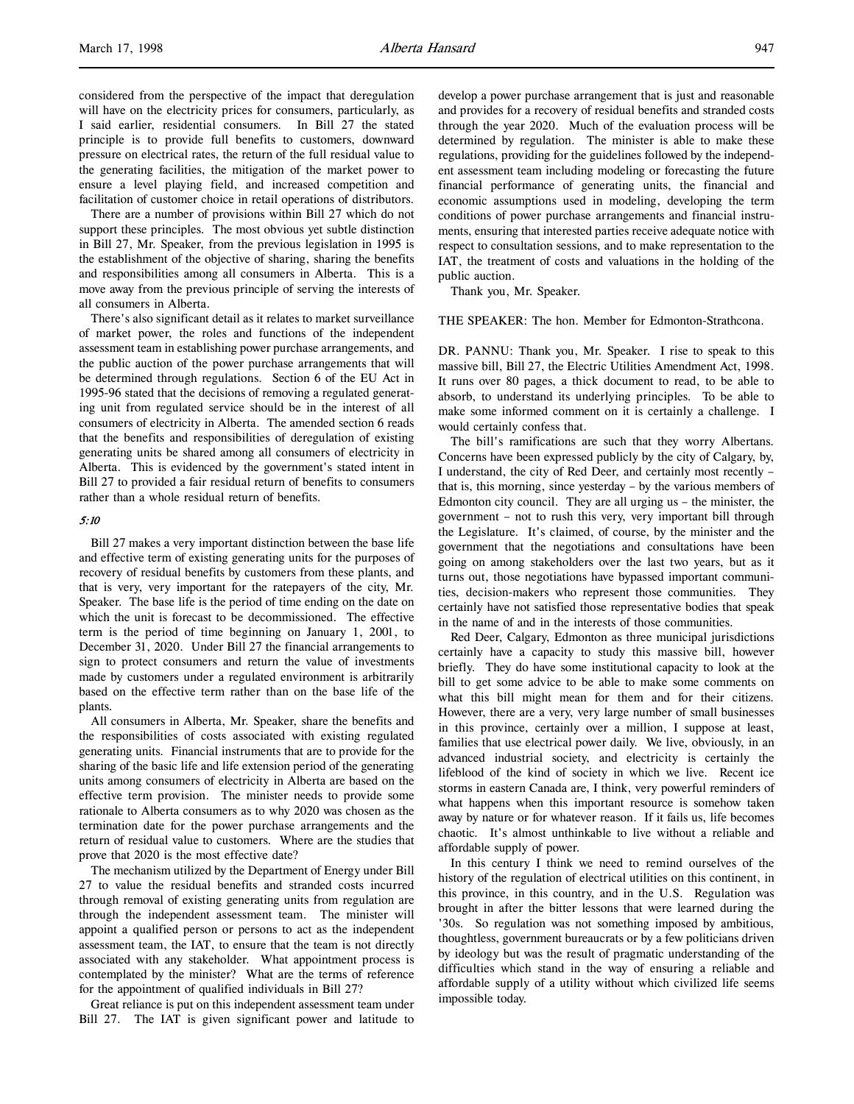considered from the perspective of the impact that deregulation will have on the electricity prices for consumers, particularly, as I said earlier, residential consumers. In Bill 27 the stated principle is to provide full benefits to customers, downward pressure on electrical rates, the return of the full residual value to the generating facilities, the mitigation of the market power to ensure a level playing field, and increased competition and facilitation of customer choice in retail operations of distributors.

There are a number of provisions within Bill 27 which do not support these principles. The most obvious yet subtle distinction in Bill 27, Mr. Speaker, from the previous legislation in 1995 is the establishment of the objective of sharing, sharing the benefits and responsibilities among all consumers in Alberta. This is a move away from the previous principle of serving the interests of all consumers in Alberta.

There's also significant detail as it relates to market surveillance of market power, the roles and functions of the independent assessment team in establishing power purchase arrangements, and the public auction of the power purchase arrangements that will be determined through regulations. Section 6 of the EU Act in 1995-96 stated that the decisions of removing a regulated generating unit from regulated service should be in the interest of all consumers of electricity in Alberta. The amended section 6 reads that the benefits and responsibilities of deregulation of existing generating units be shared among all consumers of electricity in Alberta. This is evidenced by the government's stated intent in Bill 27 to provided a fair residual return of benefits to consumers rather than a whole residual return of benefits.

### 5:10

Bill 27 makes a very important distinction between the base life and effective term of existing generating units for the purposes of recovery of residual benefits by customers from these plants, and that is very, very important for the ratepayers of the city, Mr. Speaker. The base life is the period of time ending on the date on which the unit is forecast to be decommissioned. The effective term is the period of time beginning on January 1, 2001, to December 31, 2020. Under Bill 27 the financial arrangements to sign to protect consumers and return the value of investments made by customers under a regulated environment is arbitrarily based on the effective term rather than on the base life of the plants.

All consumers in Alberta, Mr. Speaker, share the benefits and the responsibilities of costs associated with existing regulated generating units. Financial instruments that are to provide for the sharing of the basic life and life extension period of the generating units among consumers of electricity in Alberta are based on the effective term provision. The minister needs to provide some rationale to Alberta consumers as to why 2020 was chosen as the termination date for the power purchase arrangements and the return of residual value to customers. Where are the studies that prove that 2020 is the most effective date?

The mechanism utilized by the Department of Energy under Bill 27 to value the residual benefits and stranded costs incurred through removal of existing generating units from regulation are through the independent assessment team. The minister will appoint a qualified person or persons to act as the independent assessment team, the IAT, to ensure that the team is not directly associated with any stakeholder. What appointment process is contemplated by the minister? What are the terms of reference for the appointment of qualified individuals in Bill 27?

Great reliance is put on this independent assessment team under Bill 27. The IAT is given significant power and latitude to develop a power purchase arrangement that is just and reasonable and provides for a recovery of residual benefits and stranded costs through the year 2020. Much of the evaluation process will be determined by regulation. The minister is able to make these regulations, providing for the guidelines followed by the independent assessment team including modeling or forecasting the future financial performance of generating units, the financial and economic assumptions used in modeling, developing the term conditions of power purchase arrangements and financial instruments, ensuring that interested parties receive adequate notice with respect to consultation sessions, and to make representation to the IAT, the treatment of costs and valuations in the holding of the public auction.

Thank you, Mr. Speaker.

THE SPEAKER: The hon. Member for Edmonton-Strathcona.

DR. PANNU: Thank you, Mr. Speaker. I rise to speak to this massive bill, Bill 27, the Electric Utilities Amendment Act, 1998. It runs over 80 pages, a thick document to read, to be able to absorb, to understand its underlying principles. To be able to make some informed comment on it is certainly a challenge. I would certainly confess that.

The bill's ramifications are such that they worry Albertans. Concerns have been expressed publicly by the city of Calgary, by, I understand, the city of Red Deer, and certainly most recently – that is, this morning, since yesterday – by the various members of Edmonton city council. They are all urging us – the minister, the government – not to rush this very, very important bill through the Legislature. It's claimed, of course, by the minister and the government that the negotiations and consultations have been going on among stakeholders over the last two years, but as it turns out, those negotiations have bypassed important communities, decision-makers who represent those communities. They certainly have not satisfied those representative bodies that speak in the name of and in the interests of those communities.

Red Deer, Calgary, Edmonton as three municipal jurisdictions certainly have a capacity to study this massive bill, however briefly. They do have some institutional capacity to look at the bill to get some advice to be able to make some comments on what this bill might mean for them and for their citizens. However, there are a very, very large number of small businesses in this province, certainly over a million, I suppose at least, families that use electrical power daily. We live, obviously, in an advanced industrial society, and electricity is certainly the lifeblood of the kind of society in which we live. Recent ice storms in eastern Canada are, I think, very powerful reminders of what happens when this important resource is somehow taken away by nature or for whatever reason. If it fails us, life becomes chaotic. It's almost unthinkable to live without a reliable and affordable supply of power.

In this century I think we need to remind ourselves of the history of the regulation of electrical utilities on this continent, in this province, in this country, and in the U.S. Regulation was brought in after the bitter lessons that were learned during the '30s. So regulation was not something imposed by ambitious, thoughtless, government bureaucrats or by a few politicians driven by ideology but was the result of pragmatic understanding of the difficulties which stand in the way of ensuring a reliable and affordable supply of a utility without which civilized life seems impossible today.